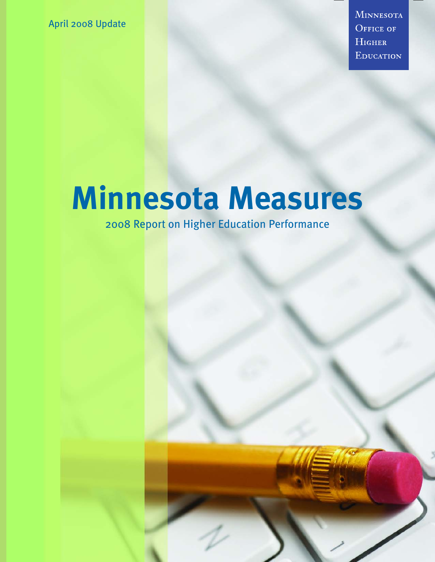April 2008 Update

**MINNESOTA** OFFICE OF HIGHER EDUCATION

### **Minnesota Measures**

2008 Report on Higher Education Performance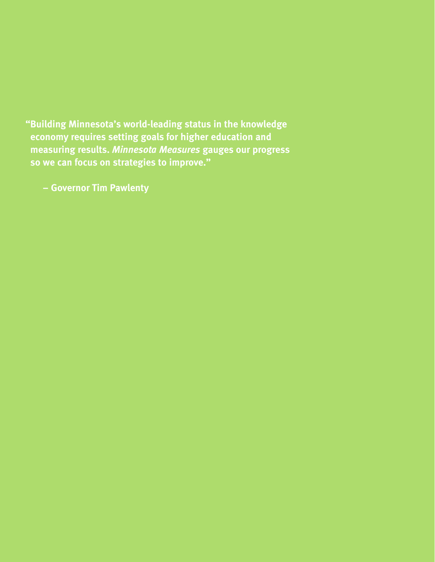**"Building Minnesota's world-leading status in the knowledge economy requires setting goals for higher education and measuring results.** *Minnesota Measures* **gauges our progress so we can focus on strategies to improve."** 

**– Governor Tim Pawlenty**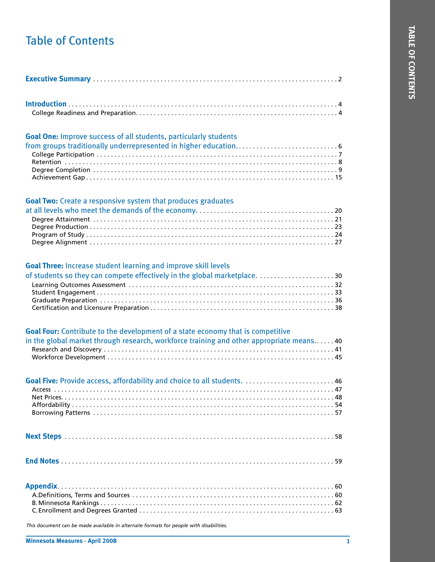#### Table of Contents

#### **Goal One:** Improve success of all students, particularly students

#### **Goal Two:** Create a responsive system that produces graduates

#### **Goal Three:** Increase student learning and improve skill levels

| of students so they can compete effectively in the global marketplace. 30 |  |
|---------------------------------------------------------------------------|--|
|                                                                           |  |
|                                                                           |  |
|                                                                           |  |
|                                                                           |  |

| <b>Goal Four:</b> Contribute to the development of a state economy that is competitive<br>in the global market through research, workforce training and other appropriate means. 40 |
|-------------------------------------------------------------------------------------------------------------------------------------------------------------------------------------|
|                                                                                                                                                                                     |
|                                                                                                                                                                                     |
|                                                                                                                                                                                     |
|                                                                                                                                                                                     |

*This document can be made available in alternate formats for people with disabilities.*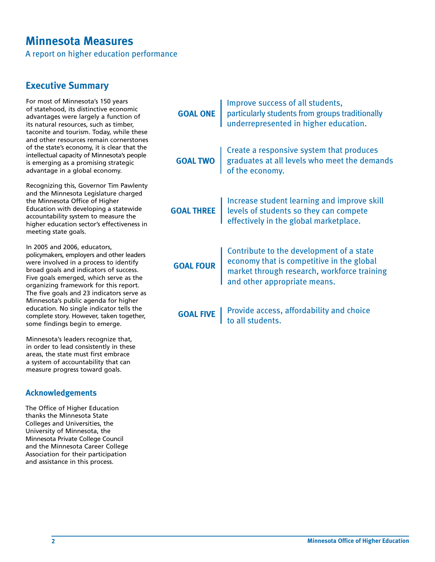#### **Minnesota Measures**

A report on higher education performance

#### **Executive Summary**

For most of Minnesota's 150 years of statehood, its distinctive economic advantages were largely a function of its natural resources, such as timber, taconite and tourism. Today, while these and other resources remain cornerstones of the state's economy, it is clear that the intellectual capacity of Minnesota's people is emerging as a promising strategic advantage in a global economy.

Recognizing this, Governor Tim Pawlenty and the Minnesota Legislature charged the Minnesota Office of Higher Education with developing a statewide accountability system to measure the higher education sector's effectiveness in meeting state goals.

In 2005 and 2006, educators, policymakers, employers and other leaders were involved in a process to identify broad goals and indicators of success. Five goals emerged, which serve as the organizing framework for this report. The five goals and 23 indicators serve as Minnesota's public agenda for higher education. No single indicator tells the complete story. However, taken together, some findings begin to emerge.

Minnesota's leaders recognize that, in order to lead consistently in these areas, the state must first embrace a system of accountability that can measure progress toward goals.

#### **Acknowledgements**

The Office of Higher Education thanks the Minnesota State Colleges and Universities, the University of Minnesota, the Minnesota Private College Council and the Minnesota Career College Association for their participation and assistance in this process.

| <b>GOAL ONE</b> Improve success of all students,<br>particularly students from groups traditionally<br>underrepresented in higher education.                                          |
|---------------------------------------------------------------------------------------------------------------------------------------------------------------------------------------|
| <b>GOAL TWO</b> Create a responsive system that produces<br>graduates at all levels who meet the demands<br>of the economy.                                                           |
| <b>GOAL THREE</b>   Increase student learning and improve skill<br>levels of students so they can compete<br>effectively in the global marketplace.                                   |
| <b>GOAL FOUR</b> Contribute to the development of a state<br>economy that is competitive in the global<br>market through research, workforce training<br>and other appropriate means. |
| <b>GOAL FIVE</b> Frovide access, affordability and choice to all students.                                                                                                            |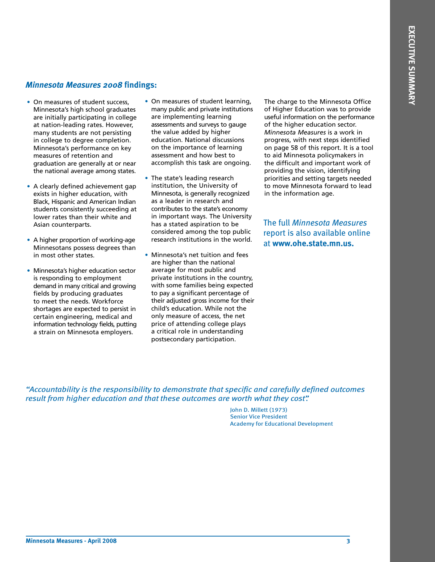#### *Minnesota Measures 2008* **findings:**

- On measures of student success, Minnesota's high school graduates are initially participating in college at nation-leading rates. However, many students are not persisting in college to degree completion. Minnesota's performance on key measures of retention and graduation are generally at or near the national average among states.
- A clearly defined achievement gap exists in higher education, with Black, Hispanic and American Indian students consistently succeeding at lower rates than their white and Asian counterparts.
- A higher proportion of working-age Minnesotans possess degrees than in most other states.
- Minnesota's higher education sector is responding to employment demand in many critical and growing fields by producing graduates to meet the needs. Workforce shortages are expected to persist in certain engineering, medical and information technology fields, putting a strain on Minnesota employers.
- On measures of student learning, many public and private institutions are implementing learning assessments and surveys to gauge the value added by higher education. National discussions on the importance of learning assessment and how best to accomplish this task are ongoing.
- The state's leading research institution, the University of Minnesota, is generally recognized as a leader in research and contributes to the state's economy in important ways. The University has a stated aspiration to be considered among the top public research institutions in the world.
- Minnesota's net tuition and fees are higher than the national average for most public and private institutions in the country, with some families being expected to pay a significant percentage of their adjusted gross income for their child's education. While not the only measure of access, the net price of attending college plays a critical role in understanding postsecondary participation.

The charge to the Minnesota Office of Higher Education was to provide useful information on the performance of the higher education sector. *Minnesota Measures* is a work in progress, with next steps identified on page 58 of this report. It is a tool to aid Minnesota policymakers in the difficult and important work of providing the vision, identifying priorities and setting targets needed to move Minnesota forward to lead in the information age.

The full *Minnesota Measures* report is also available online at **www.ohe.state.mn.us.**

*"Accountability is the responsibility to demonstrate that specific and carefully defined outcomes result from higher education and that these outcomes are worth what they cost".*

> John D. Millett (1973) Senior Vice President Academy for Educational Development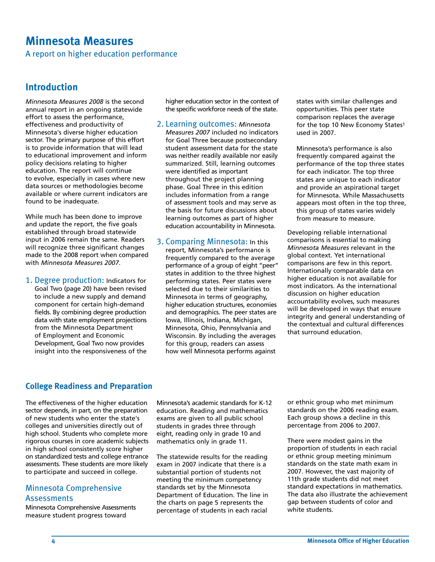#### **Minnesota Measures**

A report on higher education performance

#### **Introduction**

*Minnesota Measures 2008* is the second annual report in an ongoing statewide effort to assess the performance, effectiveness and productivity of Minnesota's diverse higher education sector. The primary purpose of this effort is to provide information that will lead to educational improvement and inform policy decisions relating to higher education. The report will continue to evolve, especially in cases where new data sources or methodologies become available or where current indicators are found to be inadequate.

While much has been done to improve and update the report, the five goals established through broad statewide input in 2006 remain the same. Readers will recognize three significant changes made to the 2008 report when compared with *Minnesota Measures 2007*.

1. Degree production: Indicators for Goal Two (page 20) have been revised to include a new supply and demand component for certain high-demand fields. By combining degree production data with state employment projections from the Minnesota Department of Employment and Economic Development, Goal Two now provides insight into the responsiveness of the higher education sector in the context of the specific workforce needs of the state.

- 2. Learning outcomes: *Minnesota Measures 2007* included no indicators for Goal Three because postsecondary student assessment data for the state was neither readily available nor easily summarized. Still, learning outcomes were identified as important throughout the project planning phase. Goal Three in this edition includes information from a range of assessment tools and may serve as the basis for future discussions about learning outcomes as part of higher education accountability in Minnesota.
- 3. Comparing Minnesota: In this report, Minnesota's performance is frequently compared to the average performance of a group of eight "peer" states in addition to the three highest performing states. Peer states were selected due to their similarities to Minnesota in terms of geography, higher education structures, economies and demographics. The peer states are Iowa, Illinois, Indiana, Michigan, Minnesota, Ohio, Pennsylvania and Wisconsin. By including the averages for this group, readers can assess how well Minnesota performs against

states with similar challenges and opportunities. This peer state comparison replaces the average for the top 10 New Economy States1 used in 2007.

Minnesota's performance is also frequently compared against the performance of the top three states for each indicator. The top three states are unique to each indicator and provide an aspirational target for Minnesota. While Massachusetts appears most often in the top three, this group of states varies widely from measure to measure.

Developing reliable international comparisons is essential to making *Minnesota Measures* relevant in the global context. Yet international comparisons are few in this report. Internationally comparable data on higher education is not available for most indicators. As the international discussion on higher education accountability evolves, such measures will be developed in ways that ensure integrity and general understanding of the contextual and cultural differences that surround education.

#### **College Readiness and Preparation**

The effectiveness of the higher education sector depends, in part, on the preparation of new students who enter the state's colleges and universities directly out of high school. Students who complete more rigorous courses in core academic subjects in high school consistently score higher on standardized tests and college entrance assessments. These students are more likely to participate and succeed in college.

#### Minnesota Comprehensive **Assessments**

Minnesota Comprehensive Assessments measure student progress toward

Minnesota's academic standards for K-12 education. Reading and mathematics exams are given to all public school students in grades three through eight, reading only in grade 10 and mathematics only in grade 11.

The statewide results for the reading exam in 2007 indicate that there is a substantial portion of students not meeting the minimum competency standards set by the Minnesota Department of Education. The line in the charts on page 5 represents the percentage of students in each racial

or ethnic group who met minimum standards on the 2006 reading exam. Each group shows a decline in this percentage from 2006 to 2007.

There were modest gains in the proportion of students in each racial or ethnic group meeting minimum standards on the state math exam in 2007. However, the vast majority of 11th grade students did not meet standard expectations in mathematics. The data also illustrate the achievement gap between students of color and white students.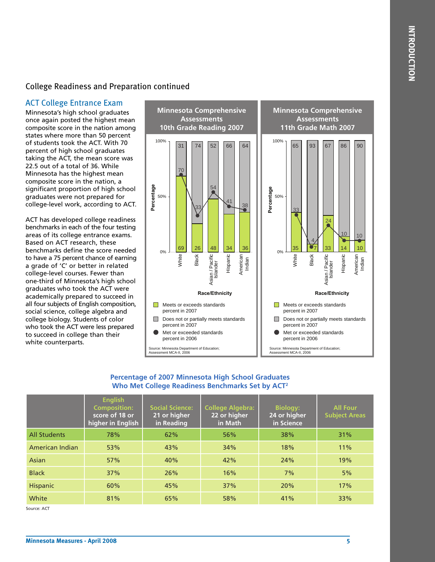#### College Readiness and Preparation continued

#### ACT College Entrance Exam

Minnesota's high school graduates once again posted the highest mean composite score in the nation among states where more than 50 percent of students took the ACT. With 70 percent of high school graduates taking the ACT, the mean score was 22.5 out of a total of 36. While Minnesota has the highest mean composite score in the nation, a significant proportion of high school graduates were not prepared for college-level work, according to ACT.

ACT has developed college readiness benchmarks in each of the four testing areas of its college entrance exams. Based on ACT research, these benchmarks define the score needed to have a 75 percent chance of earning a grade of 'C' or better in related college-level courses. Fewer than one-third of Minnesota's high school graduates who took the ACT were academically prepared to succeed in all four subjects of English composition, social science, college algebra and college biology. Students of color who took the ACT were less prepared to succeed in college than their white counterparts.



#### **Percentage of 2007 Minnesota High School Graduates Who Met College Readiness Benchmarks Set by ACT2**

|                     | <b>English</b><br><b>Composition:</b><br>score of 18 or<br>higher in English | <b>Social Science:</b><br>21 or higher<br>in Reading | <b>College Algebra:</b><br>22 or higher<br>in Math | <b>Biology:</b><br>24 or higher<br>in Science | <b>All Four</b><br><b>Subject Areas</b> |
|---------------------|------------------------------------------------------------------------------|------------------------------------------------------|----------------------------------------------------|-----------------------------------------------|-----------------------------------------|
| <b>All Students</b> | 78%                                                                          | 62%                                                  | 56%                                                | 38%                                           | 31%                                     |
| American Indian     | 53%                                                                          | 43%                                                  | 34%                                                | 18%                                           | 11%                                     |
| Asian               | 57%                                                                          | 40%                                                  | 42%                                                | 24%                                           | 19%                                     |
| <b>Black</b>        | 37%                                                                          | 26%                                                  | 16%                                                | 7%                                            | 5%                                      |
| <b>Hispanic</b>     | 60%                                                                          | 45%                                                  | 37%                                                | 20%                                           | 17%                                     |
| White               | 81%                                                                          | 65%                                                  | 58%                                                | 41%                                           | 33%                                     |

Source: ACT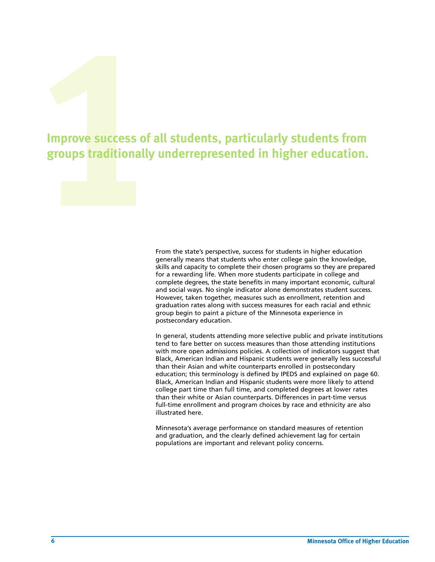## **14**<br> **14**<br> **14**<br> **14**<br> **14**<br> **14**<br> **15**<br> **15 Improve success of all students, particularly students from groups traditionally underrepresented in higher education.**

From the state's perspective, success for students in higher education generally means that students who enter college gain the knowledge, skills and capacity to complete their chosen programs so they are prepared for a rewarding life. When more students participate in college and complete degrees, the state benefits in many important economic, cultural and social ways. No single indicator alone demonstrates student success. However, taken together, measures such as enrollment, retention and graduation rates along with success measures for each racial and ethnic group begin to paint a picture of the Minnesota experience in postsecondary education.

In general, students attending more selective public and private institutions tend to fare better on success measures than those attending institutions with more open admissions policies. A collection of indicators suggest that Black, American Indian and Hispanic students were generally less successful than their Asian and white counterparts enrolled in postsecondary education; this terminology is defined by IPEDS and explained on page 60. Black, American Indian and Hispanic students were more likely to attend college part time than full time, and completed degrees at lower rates than their white or Asian counterparts. Differences in part-time versus full-time enrollment and program choices by race and ethnicity are also illustrated here.

Minnesota's average performance on standard measures of retention and graduation, and the clearly defined achievement lag for certain populations are important and relevant policy concerns.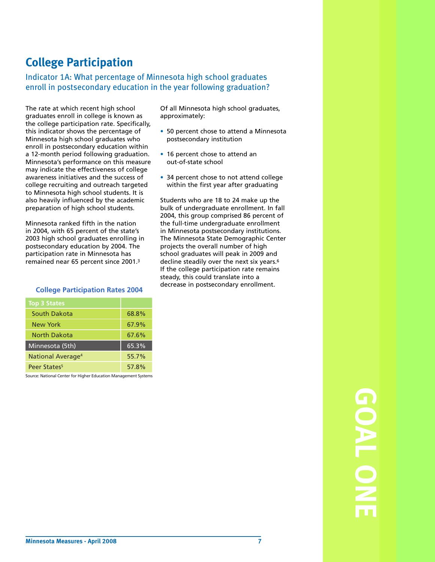#### **College Participation**

#### Indicator 1A: What percentage of Minnesota high school graduates enroll in postsecondary education in the year following graduation?

The rate at which recent high school graduates enroll in college is known as the college participation rate. Specifically, this indicator shows the percentage of Minnesota high school graduates who enroll in postsecondary education within a 12-month period following graduation. Minnesota's performance on this measure may indicate the effectiveness of college awareness initiatives and the success of college recruiting and outreach targeted to Minnesota high school students. It is also heavily influenced by the academic preparation of high school students.

Minnesota ranked fifth in the nation in 2004, with 65 percent of the state's 2003 high school graduates enrolling in postsecondary education by 2004. The participation rate in Minnesota has remained near 65 percent since 2001.3

#### **College Participation Rates 2004**

| <b>Top 3 States</b>           |       |
|-------------------------------|-------|
| South Dakota                  | 68.8% |
| New York                      | 67.9% |
| North Dakota                  | 67.6% |
| Minnesota (5th)               | 65.3% |
| National Average <sup>4</sup> | 55.7% |
| Peer States <sup>5</sup>      | 57.8% |

Source: National Center for Higher Education Management Systems

Of all Minnesota high school graduates, approximately:

- 50 percent chose to attend a Minnesota postsecondary institution
- 16 percent chose to attend an out-of-state school
- 34 percent chose to not attend college within the first year after graduating

Students who are 18 to 24 make up the bulk of undergraduate enrollment. In fall 2004, this group comprised 86 percent of the full-time undergraduate enrollment in Minnesota postsecondary institutions. The Minnesota State Demographic Center projects the overall number of high school graduates will peak in 2009 and decline steadily over the next six years.<sup>6</sup> If the college participation rate remains steady, this could translate into a decrease in postsecondary enrollment.

> **GOAL ONE**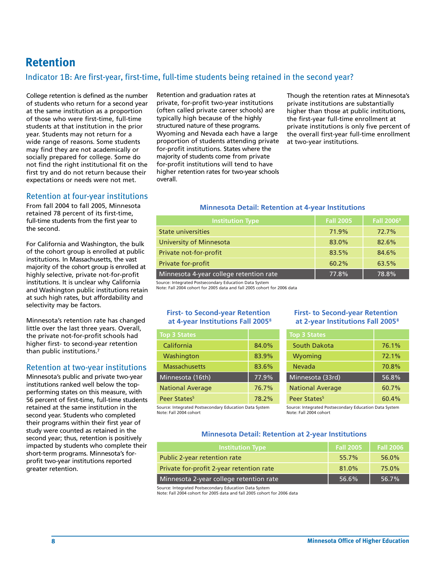#### **Retention**

#### Indicator 1B: Are first-year, first-time, full-time students being retained in the second year?

College retention is defined as the number of students who return for a second year at the same institution as a proportion of those who were first-time, full-time students at that institution in the prior year. Students may not return for a wide range of reasons. Some students may find they are not academically or socially prepared for college. Some do not find the right institutional fit on the first try and do not return because their expectations or needs were not met.

#### Retention at four-year institutions

From fall 2004 to fall 2005, Minnesota retained 78 percent of its first-time, full-time students from the first year to the second.

For California and Washington, the bulk of the cohort group is enrolled at public institutions. In Massachusetts, the vast majority of the cohort group is enrolled at highly selective, private not-for-profit institutions. It is unclear why California and Washington public institutions retain at such high rates, but affordability and selectivity may be factors.

Minnesota's retention rate has changed little over the last three years. Overall, the private not-for-profit schools had higher first- to second-year retention than public institutions.7

#### Retention at two-year institutions

Minnesota's public and private two-year institutions ranked well below the topperforming states on this measure, with 56 percent of first-time, full-time students retained at the same institution in the second year. Students who completed their programs within their first year of study were counted as retained in the second year; thus, retention is positively impacted by students who complete their short-term programs. Minnesota's forprofit two-year institutions reported greater retention.

Retention and graduation rates at private, for-profit two-year institutions (often called private career schools) are typically high because of the highly structured nature of these programs. Wyoming and Nevada each have a large proportion of students attending private for-profit institutions. States where the majority of students come from private for-profit institutions will tend to have higher retention rates for two-year schools overall.

Though the retention rates at Minnesota's private institutions are substantially higher than those at public institutions, the first-year full-time enrollment at private institutions is only five percent of the overall first-year full-time enrollment at two-year institutions.

#### **Minnesota Detail: Retention at 4-year Institutions**

| <b>Institution Type</b>                 | <b>Fall 2005</b> | <b>Fall 2006</b> <sup>8</sup> |
|-----------------------------------------|------------------|-------------------------------|
| <b>State universities</b>               | 71.9%            | 72.7%                         |
| <b>University of Minnesota</b>          | 83.0%            | 82.6%                         |
| Private not-for-profit                  | 83.5%            | 84.6%                         |
| Private for-profit                      | 60.2%            | 63.5%                         |
| Minnesota 4-year college retention rate | 77.8%            | 78.8%                         |

Source: Integrated Postsecondary Education Data System

Note: Fall 2004 cohort for 2005 data and fall 2005 cohort for 2006 data

#### **First- to Second-year Retention at 4-year Institutions Fall 2005 8**

| <b>Top 3 States</b>      |       |
|--------------------------|-------|
| California               | 84.0% |
| Washington               | 83.9% |
| <b>Massachusetts</b>     | 83.6% |
| Minnesota (16th)         | 77.9% |
| <b>National Average</b>  | 76.7% |
| Peer States <sup>5</sup> | 78.2% |

Source: Integrated Postsecondary Education Data System Note: Fall 2004 cohort

#### **First- to Second-year Retention at 2-year Institutions Fall 2005 8**

| <b>Top 3 States</b>      |          |
|--------------------------|----------|
| South Dakota             | 76.1%    |
| Wyoming                  | $72.1\%$ |
| Nevada                   | 70.8%    |
| Minnesota (33rd)         | 56.8%    |
| <b>National Average</b>  | 60.7%    |
| Peer States <sup>5</sup> | $60.4\%$ |

Source: Integrated Postsecondary Education Data System Note: Fall 2004 cohort

#### **Minnesota Detail: Retention at 2-year Institutions**

| <b>Institution Type</b>                  | <b>Fall 2005</b> | <b>Fall 2006</b> |
|------------------------------------------|------------------|------------------|
| Public 2-year retention rate             | 55.7%            | 56.0%            |
| Private for-profit 2-year retention rate | $81.0\%$         | 75.0%            |
| Minnesota 2-year college retention rate  | 56.6%            | 56.7%            |

Source: Integrated Postsecondary Education Data System Note: Fall 2004 cohort for 2005 data and fall 2005 cohort for 2006 data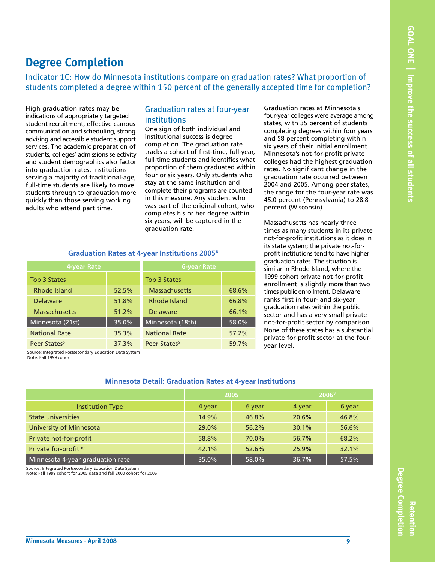#### **Degree Completion**

Indicator 1C: How do Minnesota institutions compare on graduation rates? What proportion of students completed a degree within 150 percent of the generally accepted time for completion?

High graduation rates may be indications of appropriately targeted student recruitment, effective campus communication and scheduling, strong advising and accessible student support services. The academic preparation of students, colleges' admissions selectivity and student demographics also factor into graduation rates. Institutions serving a majority of traditional-age, full-time students are likely to move students through to graduation more quickly than those serving working adults who attend part time.

#### Graduation rates at four-year institutions

One sign of both individual and institutional success is degree completion. The graduation rate tracks a cohort of first-time, full-year, full-time students and identifies what proportion of them graduated within four or six years. Only students who stay at the same institution and complete their programs are counted in this measure. Any student who was part of the original cohort, who completes his or her degree within six years, will be captured in the graduation rate.

Graduation rates at Minnesota's four-year colleges were average among states, with 35 percent of students completing degrees within four years and 58 percent completing within six years of their initial enrollment. Minnesota's not-for-profit private colleges had the highest graduation rates. No significant change in the graduation rate occurred between 2004 and 2005. Among peer states, the range for the four-year rate was 45.0 percent (Pennsylvania) to 28.8 percent (Wisconsin).

Massachusetts has nearly three times as many students in its private not-for-profit institutions as it does in its state system; the private not-forprofit institutions tend to have higher graduation rates. The situation is similar in Rhode Island, where the 1999 cohort private not-for-profit enrollment is slightly more than two times public enrollment. Delaware ranks first in four- and six-year graduation rates within the public sector and has a very small private not-for-profit sector by comparison. None of these states has a substantial private for-profit sector at the fouryear level.

| 4-year Rate              |       | <b>6-year Rate</b>       |       |
|--------------------------|-------|--------------------------|-------|
| Top 3 States             |       | Top 3 States             |       |
| Rhode Island             | 52.5% | <b>Massachusetts</b>     | 68.6% |
| <b>Delaware</b>          | 51.8% | Rhode Island             | 66.8% |
| <b>Massachusetts</b>     | 51.2% | <b>Delaware</b>          | 66.1% |
| Minnesota (21st)         | 35.0% | Minnesota (18th)         | 58.0% |
| <b>National Rate</b>     | 35.3% | <b>National Rate</b>     | 57.2% |
| Peer States <sup>5</sup> | 37.3% | Peer States <sup>5</sup> | 59.7% |

#### **Graduation Rates at 4-year Institutions 2005 8**

Source: Integrated Postsecondary Education Data System Note: Fall 1999 cohort

#### **Minnesota Detail: Graduation Rates at 4-year Institutions**

|                                  | 2005   |        |        | 2006 <sup>9</sup> |
|----------------------------------|--------|--------|--------|-------------------|
| <b>Institution Type</b>          | 4 year | 6 year | 4 year | 6 year            |
| <b>State universities</b>        | 14.9%  | 46.8%  | 20.6%  | 46.8%             |
| <b>University of Minnesota</b>   | 29.0%  | 56.2%  | 30.1%  | 56.6%             |
| Private not-for-profit           | 58.8%  | 70.0%  | 56.7%  | 68.2%             |
| Private for-profit <sup>10</sup> | 42.1%  | 52.6%  | 25.9%  | 32.1%             |
| Minnesota 4-year graduation rate | 35.0%  | 58.0%  | 36.7%  | 57.5%             |

Source: Integrated Postsecondary Education Data System

Note: Fall 1999 cohort for 2005 data and fall 2000 cohort for 2006

**Retention**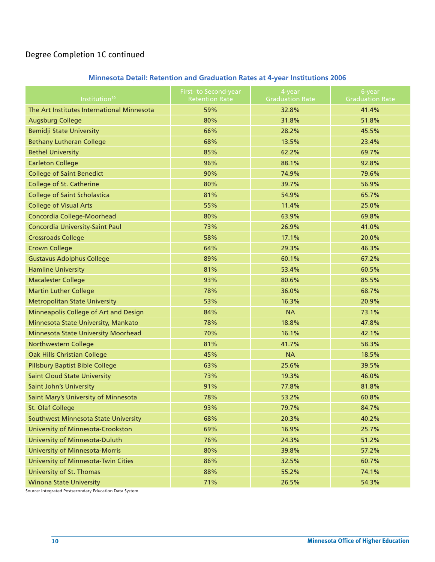#### Degree Completion 1C continued

#### **Minnesota Detail: Retention and Graduation Rates at 4-year Institutions 2006**

| Institution <sup>10</sup>                  | First- to Second-year<br><b>Retention Rate</b> | 4-year<br><b>Graduation Rate</b> | 6-year<br><b>Graduation Rate</b> |
|--------------------------------------------|------------------------------------------------|----------------------------------|----------------------------------|
| The Art Institutes International Minnesota | 59%                                            | 32.8%                            | 41.4%                            |
| <b>Augsburg College</b>                    | 80%                                            | 31.8%                            | 51.8%                            |
| <b>Bemidji State University</b>            | 66%                                            | 28.2%                            | 45.5%                            |
| <b>Bethany Lutheran College</b>            | 68%                                            | 13.5%                            | 23.4%                            |
| <b>Bethel University</b>                   | 85%                                            | 62.2%                            | 69.7%                            |
| <b>Carleton College</b>                    | 96%                                            | 88.1%                            | 92.8%                            |
| <b>College of Saint Benedict</b>           | 90%                                            | 74.9%                            | 79.6%                            |
| <b>College of St. Catherine</b>            | 80%                                            | 39.7%                            | 56.9%                            |
| <b>College of Saint Scholastica</b>        | 81%                                            | 54.9%                            | 65.7%                            |
| <b>College of Visual Arts</b>              | 55%                                            | 11.4%                            | 25.0%                            |
| Concordia College-Moorhead                 | 80%                                            | 63.9%                            | 69.8%                            |
| Concordia University-Saint Paul            | 73%                                            | 26.9%                            | 41.0%                            |
| <b>Crossroads College</b>                  | 58%                                            | 17.1%                            | 20.0%                            |
| <b>Crown College</b>                       | 64%                                            | 29.3%                            | 46.3%                            |
| <b>Gustavus Adolphus College</b>           | 89%                                            | 60.1%                            | 67.2%                            |
| <b>Hamline University</b>                  | 81%                                            | 53.4%                            | 60.5%                            |
| <b>Macalester College</b>                  | 93%                                            | 80.6%                            | 85.5%                            |
| <b>Martin Luther College</b>               | 78%                                            | 36.0%                            | 68.7%                            |
| <b>Metropolitan State University</b>       | 53%                                            | 16.3%                            | 20.9%                            |
| Minneapolis College of Art and Design      | 84%                                            | <b>NA</b>                        | 73.1%                            |
| Minnesota State University, Mankato        | 78%                                            | 18.8%                            | 47.8%                            |
| Minnesota State University Moorhead        | 70%                                            | 16.1%                            | 42.1%                            |
| Northwestern College                       | 81%                                            | 41.7%                            | 58.3%                            |
| Oak Hills Christian College                | 45%                                            | <b>NA</b>                        | 18.5%                            |
| <b>Pillsbury Baptist Bible College</b>     | 63%                                            | 25.6%                            | 39.5%                            |
| <b>Saint Cloud State University</b>        | 73%                                            | 19.3%                            | 46.0%                            |
| <b>Saint John's University</b>             | 91%                                            | 77.8%                            | 81.8%                            |
| Saint Mary's University of Minnesota       | 78%                                            | 53.2%                            | 60.8%                            |
| St. Olaf College                           | 93%                                            | 79.7%                            | 84.7%                            |
| Southwest Minnesota State University       | 68%                                            | 20.3%                            | 40.2%                            |
| University of Minnesota-Crookston          | 69%                                            | 16.9%                            | 25.7%                            |
| University of Minnesota-Duluth             | 76%                                            | 24.3%                            | 51.2%                            |
| <b>University of Minnesota-Morris</b>      | 80%                                            | 39.8%                            | 57.2%                            |
| University of Minnesota-Twin Cities        | 86%                                            | 32.5%                            | 60.7%                            |
| University of St. Thomas                   | 88%                                            | 55.2%                            | 74.1%                            |
| <b>Winona State University</b>             | 71%                                            | 26.5%                            | 54.3%                            |

Source: Integrated Postsecondary Education Data System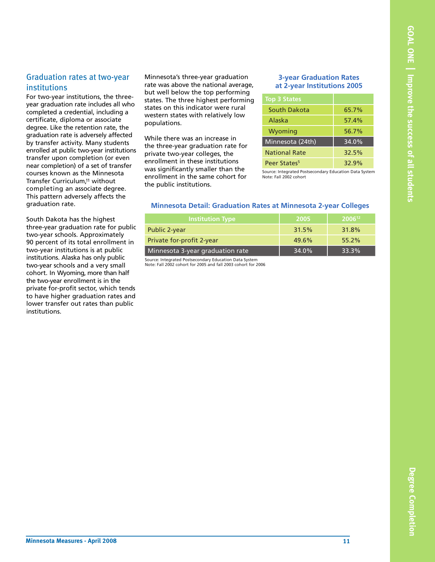#### Graduation rates at two-year institutions

For two-year institutions, the threeyear graduation rate includes all who completed a credential, including a certificate, diploma or associate degree. Like the retention rate, the graduation rate is adversely affected by transfer activity. Many students enrolled at public two-year institutions transfer upon completion (or even near completion) of a set of transfer courses known as the Minnesota Transfer Curriculum,11 without completing an associate degree. This pattern adversely affects the graduation rate.

South Dakota has the highest three-year graduation rate for public two-year schools. Approximately 90 percent of its total enrollment in two-year institutions is at public institutions. Alaska has only public two-year schools and a very small cohort. In Wyoming, more than half the two-year enrollment is in the private for-profit sector, which tends to have higher graduation rates and lower transfer out rates than public institutions.

Minnesota's three-year graduation rate was above the national average, but well below the top performing states. The three highest performing states on this indicator were rural western states with relatively low populations.

While there was an increase in the three-year graduation rate for private two-year colleges, the enrollment in these institutions was significantly smaller than the enrollment in the same cohort for the public institutions.

#### **3-year Graduation Rates at 2-year Institutions 2005**

| Top 3 Sta <u>tes</u>     |       |
|--------------------------|-------|
| South Dakota             | 65.7% |
| Alaska                   | 57.4% |
| Wyoming                  | 56.7% |
| Minnesota (24th)         | 34.0% |
| <b>National Rate</b>     | 32.5% |
| Peer States <sup>5</sup> | 32.9% |

Source: Integrated Postsecondary Education Data System Note: Fall 2002 cohort

#### **Minnesota Detail: Graduation Rates at Minnesota 2-year Colleges**

| Institution Type                 | 2005  | 2006 <sup>12</sup> |
|----------------------------------|-------|--------------------|
| Public 2-year                    | 31.5% | 31.8%              |
| Private for-profit 2-year        | 49.6% | 55.2%              |
| Minnesota 3-year graduation rate | 34.0% | 33.3%              |
|                                  |       |                    |

Source: Integrated Postsecondary Education Data System Note: Fall 2002 cohort for 2005 and fall 2003 cohort for 2006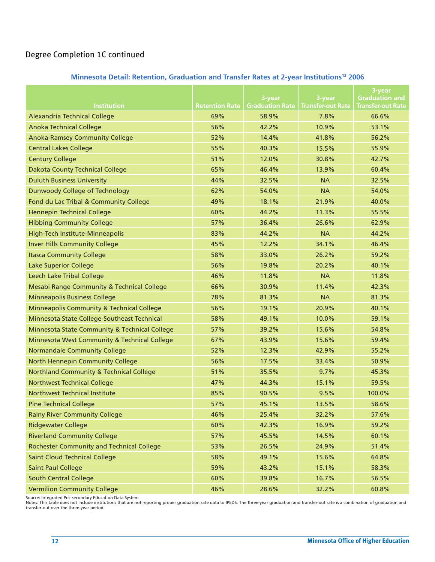#### Degree Completion 1C continued

#### **Minnesota Detail: Retention, Graduation and Transfer Rates at 2-year Institutions13 2006**

|                                                      |                       |                        |                          | 3-year                   |
|------------------------------------------------------|-----------------------|------------------------|--------------------------|--------------------------|
|                                                      |                       | 3-year                 | 3-year                   | <b>Graduation and</b>    |
| <b>Institution</b>                                   | <b>Retention Rate</b> | <b>Graduation Rate</b> | <b>Transfer-out Rate</b> | <b>Transfer-out Rate</b> |
| Alexandria Technical College                         | 69%                   | 58.9%                  | 7.8%                     | 66.6%                    |
| <b>Anoka Technical College</b>                       | 56%                   | 42.2%                  | 10.9%                    | 53.1%                    |
| <b>Anoka-Ramsey Community College</b>                | 52%                   | 14.4%                  | 41.8%                    | 56.2%                    |
| <b>Central Lakes College</b>                         | 55%                   | 40.3%                  | 15.5%                    | 55.9%                    |
| <b>Century College</b>                               | 51%                   | 12.0%                  | 30.8%                    | 42.7%                    |
| <b>Dakota County Technical College</b>               | 65%                   | 46.4%                  | 13.9%                    | 60.4%                    |
| <b>Duluth Business University</b>                    | 44%                   | 32.5%                  | <b>NA</b>                | 32.5%                    |
| Dunwoody College of Technology                       | 62%                   | 54.0%                  | <b>NA</b>                | 54.0%                    |
| Fond du Lac Tribal & Community College               | 49%                   | 18.1%                  | 21.9%                    | 40.0%                    |
| <b>Hennepin Technical College</b>                    | 60%                   | 44.2%                  | 11.3%                    | 55.5%                    |
| <b>Hibbing Community College</b>                     | 57%                   | 36.4%                  | 26.6%                    | 62.9%                    |
| High-Tech Institute-Minneapolis                      | 83%                   | 44.2%                  | <b>NA</b>                | 44.2%                    |
| <b>Inver Hills Community College</b>                 | 45%                   | 12.2%                  | 34.1%                    | 46.4%                    |
| <b>Itasca Community College</b>                      | 58%                   | 33.0%                  | 26.2%                    | 59.2%                    |
| <b>Lake Superior College</b>                         | 56%                   | 19.8%                  | 20.2%                    | 40.1%                    |
| <b>Leech Lake Tribal College</b>                     | 46%                   | 11.8%                  | <b>NA</b>                | 11.8%                    |
| Mesabi Range Community & Technical College           | 66%                   | 30.9%                  | 11.4%                    | 42.3%                    |
| <b>Minneapolis Business College</b>                  | 78%                   | 81.3%                  | <b>NA</b>                | 81.3%                    |
| <b>Minneapolis Community &amp; Technical College</b> | 56%                   | 19.1%                  | 20.9%                    | 40.1%                    |
| Minnesota State College-Southeast Technical          | 58%                   | 49.1%                  | 10.0%                    | 59.1%                    |
| Minnesota State Community & Technical College        | 57%                   | 39.2%                  | 15.6%                    | 54.8%                    |
| Minnesota West Community & Technical College         | 67%                   | 43.9%                  | 15.6%                    | 59.4%                    |
| <b>Normandale Community College</b>                  | 52%                   | 12.3%                  | 42.9%                    | 55.2%                    |
| North Hennepin Community College                     | 56%                   | 17.5%                  | 33.4%                    | 50.9%                    |
| <b>Northland Community &amp; Technical College</b>   | 51%                   | 35.5%                  | 9.7%                     | 45.3%                    |
| <b>Northwest Technical College</b>                   | 47%                   | 44.3%                  | 15.1%                    | 59.5%                    |
| <b>Northwest Technical Institute</b>                 | 85%                   | 90.5%                  | 9.5%                     | 100.0%                   |
| <b>Pine Technical College</b>                        | 57%                   | 45.1%                  | 13.5%                    | 58.6%                    |
| <b>Rainy River Community College</b>                 | 46%                   | 25.4%                  | 32.2%                    | 57.6%                    |
| <b>Ridgewater College</b>                            | 60%                   | 42.3%                  | 16.9%                    | 59.2%                    |
| <b>Riverland Community College</b>                   | 57%                   | 45.5%                  | 14.5%                    | 60.1%                    |
| <b>Rochester Community and Technical College</b>     | 53%                   | 26.5%                  | 24.9%                    | 51.4%                    |
| <b>Saint Cloud Technical College</b>                 | 58%                   | 49.1%                  | 15.6%                    | 64.8%                    |
| <b>Saint Paul College</b>                            | 59%                   | 43.2%                  | 15.1%                    | 58.3%                    |
| <b>South Central College</b>                         | 60%                   | 39.8%                  | 16.7%                    | 56.5%                    |
| <b>Vermilion Community College</b>                   | 46%                   | 28.6%                  | 32.2%                    | 60.8%                    |

Source: Integrated Postsecondary Education Data System<br>Notes: This table does not include institutions that are not reporting proper graduation rate data to IPEDS. The three-year graduation and transfer-out rate is a combi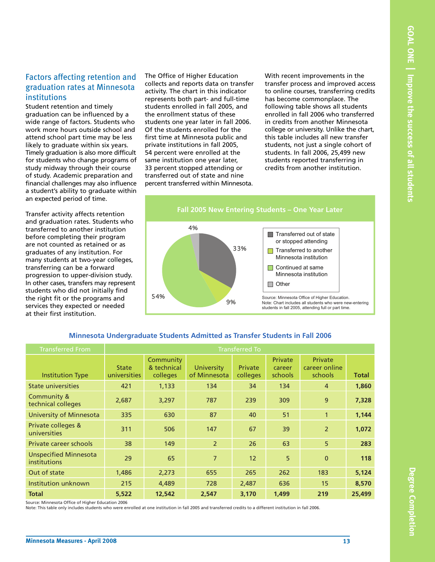#### Factors affecting retention and graduation rates at Minnesota institutions

Student retention and timely graduation can be influenced by a wide range of factors. Students who work more hours outside school and attend school part time may be less likely to graduate within six years. Timely graduation is also more difficult for students who change programs of study midway through their course of study. Academic preparation and financial challenges may also influence a student's ability to graduate within an expected period of time.

Transfer activity affects retention and graduation rates. Students who transferred to another institution before completing their program are not counted as retained or as graduates of any institution. For many students at two-year colleges, transferring can be a forward progression to upper-division study. In other cases, transfers may represent students who did not initially find the right fit or the programs and services they expected or needed at their first institution.

The Office of Higher Education collects and reports data on transfer activity. The chart in this indicator represents both part- and full-time students enrolled in fall 2005, and the enrollment status of these students one year later in fall 2006. Of the students enrolled for the first time at Minnesota public and private institutions in fall 2005, 54 percent were enrolled at the same institution one year later, 33 percent stopped attending or transferred out of state and nine percent transferred within Minnesota.

With recent improvements in the transfer process and improved access to online courses, transferring credits has become commonplace. The following table shows all students enrolled in fall 2006 who transferred in credits from another Minnesota college or university. Unlike the chart, this table includes all new transfer students, not just a single cohort of students. In fall 2006, 25,499 new students reported transferring in credits from another institution.



#### **Minnesota Undergraduate Students Admitted as Transfer Students in Fall 2006**

| <b>Transferred From</b>                      |                              |                                      |                            | <b>Transferred To</b> |                              |                                            |              |
|----------------------------------------------|------------------------------|--------------------------------------|----------------------------|-----------------------|------------------------------|--------------------------------------------|--------------|
| <b>Institution Type</b>                      | <b>State</b><br>universities | Community<br>& technical<br>colleges | University<br>of Minnesota | Private<br>colleges   | Private<br>career<br>schools | <b>Private</b><br>career online<br>schools | <b>Total</b> |
| State universities                           | 421                          | 1,133                                | 134                        | 34                    | 134                          | $\overline{4}$                             | 1,860        |
| Community &<br>technical colleges            | 2,687                        | 3,297                                | 787                        | 239                   | 309                          | 9                                          | 7,328        |
| <b>University of Minnesota</b>               | 335                          | 630                                  | 87                         | 40                    | 51                           | $\mathbf{1}$                               | 1,144        |
| Private colleges &<br>universities           | 311                          | 506                                  | 147                        | 67                    | 39                           | $\overline{2}$                             | 1,072        |
| Private career schools                       | 38                           | 149                                  | $\overline{2}$             | 26                    | 63                           | 5                                          | 283          |
| <b>Unspecified Minnesota</b><br>institutions | 29                           | 65                                   | $\overline{7}$             | 12                    | 5                            | $\mathbf{0}$                               | 118          |
| Out of state                                 | 1,486                        | 2,273                                | 655                        | 265                   | 262                          | 183                                        | 5,124        |
| Institution unknown                          | 215                          | 4,489                                | 728                        | 2,487                 | 636                          | 15                                         | 8,570        |
| <b>Total</b>                                 | 5,522                        | 12,542                               | 2,547                      | 3,170                 | 1,499                        | 219                                        | 25,499       |

Source: Minnesota Office of Higher Education 2006

Note: This table only includes students who were enrolled at one institution in fall 2005 and transferred credits to a different institution in fall 2006.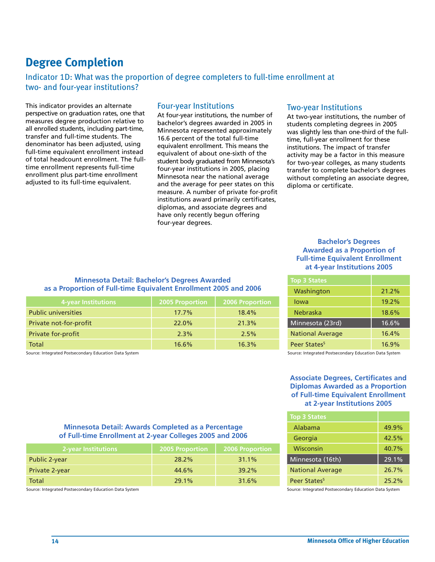#### **Degree Completion**

#### Indicator 1D: What was the proportion of degree completers to full-time enrollment at two- and four-year institutions?

This indicator provides an alternate perspective on graduation rates, one that measures degree production relative to all enrolled students, including part-time, transfer and full-time students. The denominator has been adjusted, using full-time equivalent enrollment instead of total headcount enrollment. The fulltime enrollment represents full-time enrollment plus part-time enrollment adjusted to its full-time equivalent.

#### Four-year Institutions

At four-year institutions, the number of bachelor's degrees awarded in 2005 in Minnesota represented approximately 16.6 percent of the total full-time equivalent enrollment. This means the equivalent of about one-sixth of the student body graduated from Minnesota's four-year institutions in 2005, placing Minnesota near the national average and the average for peer states on this measure. A number of private for-profit institutions award primarily certificates, diplomas, and associate degrees and have only recently begun offering four-year degrees.

#### Two-year Institutions

At two-year institutions, the number of students completing degrees in 2005 was slightly less than one-third of the fulltime, full-year enrollment for these institutions. The impact of transfer activity may be a factor in this measure for two-year colleges, as many students transfer to complete bachelor's degrees without completing an associate degree, diploma or certificate.

#### **Bachelor's Degrees Awarded as a Proportion of Full-time Equivalent Enrollment at 4-year Institutions 2005**

| <b>Top 3 States</b>      |          |
|--------------------------|----------|
| Washington               | $21.2\%$ |
| lowa                     | 19.2%    |
| Nebraska                 | 18.6%    |
| Minnesota (23rd)         | 16.6%    |
| <b>National Average</b>  | 16.4%    |
| Peer States <sup>5</sup> | 16.9%    |

Source: Integrated Postsecondary Education Data System

Source: Integrated Postsecondary Education Data System

#### **Associate Degrees, Certificates and Diplomas Awarded as a Proportion of Full-time Equivalent Enrollment at 2-year Institutions 2005**

| <b>Top 3 States</b>      |       |
|--------------------------|-------|
| Alabama                  | 49.9% |
| Georgia                  | 42.5% |
| Wisconsin                | 40.7% |
| Minnesota (16th)         | 29.1% |
| <b>National Average</b>  | 26.7% |
| Peer States <sup>5</sup> | 25.2% |

Source: Integrated Postsecondary Education Data System

#### **Minnesota Detail: Awards Completed as a Percentage of Full-time Enrollment at 2-year Colleges 2005 and 2006**

**Minnesota Detail: Bachelor's Degrees Awarded as a Proportion of Full-time Equivalent Enrollment 2005 and 2006**

Public universities 17.7% 18.4% Private not-for-profit and the 22.0% 21.3% Private for-profit and the contract of the 2.3% 2.5% Total 16.6% 16.3% and  $\sim$  16.6% 16.3%

**4-year Institutions 2005 Proportion 2006 Proportion**

| <b>2-year Institutions</b> | 2005 Proportion | <b>2006 Proportion</b> |
|----------------------------|-----------------|------------------------|
| Public 2-year              | 28.2%           | 31.1%                  |
| Private 2-year             | 44.6%           | 39.2%                  |
| Total                      | 29.1%           | 31.6%                  |

Source: Integrated Postsecondary Education Data System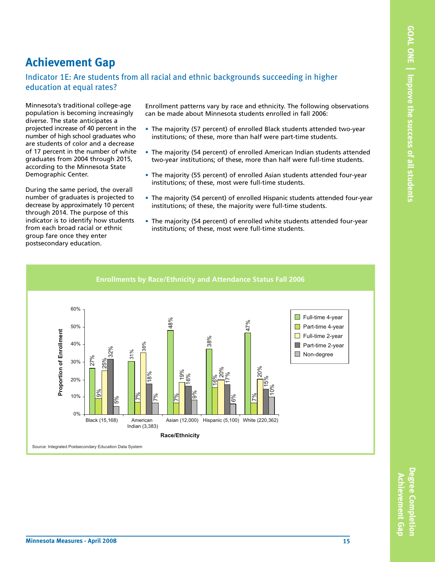#### **Achievement Gap**

#### Indicator 1E: Are students from all racial and ethnic backgrounds succeeding in higher education at equal rates?

Minnesota's traditional college-age population is becoming increasingly diverse. The state anticipates a projected increase of 40 percent in the number of high school graduates who are students of color and a decrease of 17 percent in the number of white graduates from 2004 through 2015, according to the Minnesota State Demographic Center.

During the same period, the overall number of graduates is projected to decrease by approximately 10 percent through 2014. The purpose of this indicator is to identify how students from each broad racial or ethnic group fare once they enter postsecondary education.

Enrollment patterns vary by race and ethnicity. The following observations can be made about Minnesota students enrolled in fall 2006:

- The majority (57 percent) of enrolled Black students attended two-year institutions; of these, more than half were part-time students.
- The majority (54 percent) of enrolled American Indian students attended two-year institutions; of these, more than half were full-time students.
- The majority (55 percent) of enrolled Asian students attended four-year institutions; of these, most were full-time students.
- The majority (54 percent) of enrolled Hispanic students attended four-year institutions; of these, the majority were full-time students.
- The majority (54 percent) of enrolled white students attended four-year institutions; of these, most were full-time students.



**Degree Completion**

**Degree Completio** 

**Achievement**

 **Gap**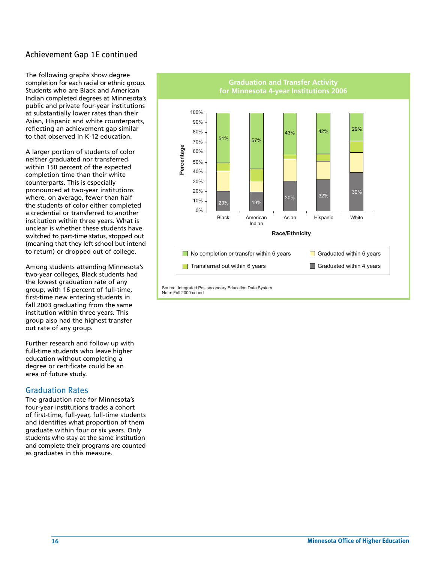#### Achievement Gap 1E continued

The following graphs show degree completion for each racial or ethnic group. Students who are Black and American Indian completed degrees at Minnesota's public and private four-year institutions at substantially lower rates than their Asian, Hispanic and white counterparts, reflecting an achievement gap similar to that observed in K-12 education.

A larger portion of students of color neither graduated nor transferred within 150 percent of the expected completion time than their white counterparts. This is especially pronounced at two-year institutions where, on average, fewer than half the students of color either completed a credential or transferred to another institution within three years. What is unclear is whether these students have switched to part-time status, stopped out (meaning that they left school but intend to return) or dropped out of college.

Among students attending Minnesota's two-year colleges, Black students had the lowest graduation rate of any group, with 16 percent of full-time, first-time new entering students in fall 2003 graduating from the same institution within three years. This group also had the highest transfer out rate of any group.

Further research and follow up with full-time students who leave higher education without completing a degree or certificate could be an area of future study.

#### Graduation Rates

The graduation rate for Minnesota's four-year institutions tracks a cohort of first-time, full-year, full-time students and identifies what proportion of them graduate within four or six years. Only students who stay at the same institution and complete their programs are counted as graduates in this measure.

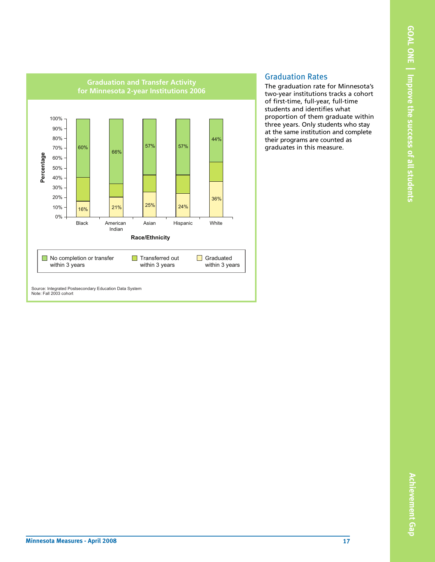

#### Graduation Rates

The graduation rate for Minnesota's two-year institutions tracks a cohort of first-time, full-year, full-time students and identifies what proportion of them graduate within three years. Only students who stay at the same institution and complete their programs are counted as graduates in this measure.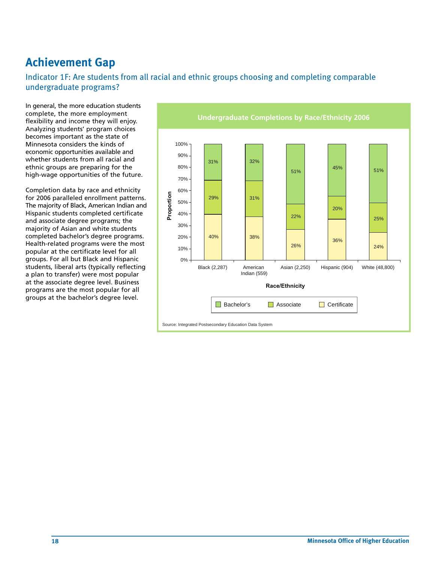#### **Achievement Gap**

Indicator 1F: Are students from all racial and ethnic groups choosing and completing comparable undergraduate programs?

In general, the more education students complete, the more employment flexibility and income they will enjoy. Analyzing students' program choices becomes important as the state of Minnesota considers the kinds of economic opportunities available and whether students from all racial and ethnic groups are preparing for the high-wage opportunities of the future.

Completion data by race and ethnicity for 2006 paralleled enrollment patterns. The majority of Black, American Indian and Hispanic students completed certificate and associate degree programs; the majority of Asian and white students completed bachelor's degree programs. Health-related programs were the most popular at the certificate level for all groups. For all but Black and Hispanic students, liberal arts (typically reflecting a plan to transfer) were most popular at the associate degree level. Business programs are the most popular for all groups at the bachelor's degree level.

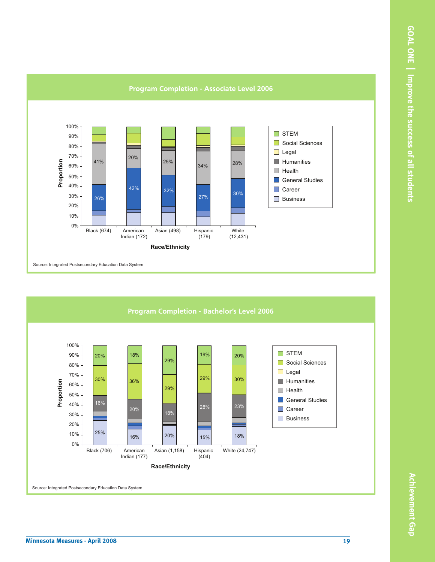



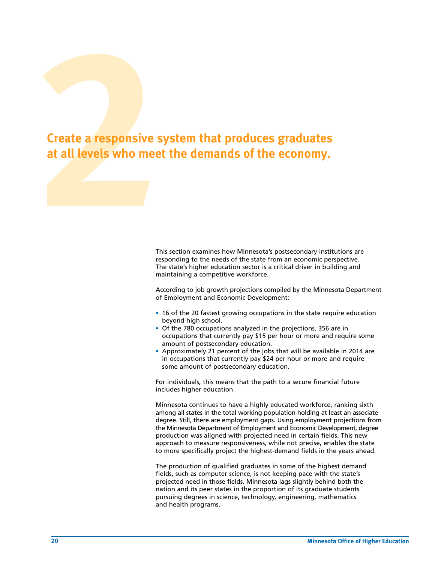## **2**<br>**2**<br>**2**<br>**2**<br>**2**<br>**2**<br>**2**<br>**2**<br>**2 Create a responsive system that produces graduates at all levels who meet the demands of the economy.**

This section examines how Minnesota's postsecondary institutions are responding to the needs of the state from an economic perspective. The state's higher education sector is a critical driver in building and maintaining a competitive workforce.

According to job growth projections compiled by the Minnesota Department of Employment and Economic Development:

- 16 of the 20 fastest growing occupations in the state require education beyond high school.
- Of the 780 occupations analyzed in the projections, 356 are in occupations that currently pay \$15 per hour or more and require some amount of postsecondary education.
- Approximately 21 percent of the jobs that will be available in 2014 are in occupations that currently pay \$24 per hour or more and require some amount of postsecondary education.

For individuals, this means that the path to a secure financial future includes higher education.

Minnesota continues to have a highly educated workforce, ranking sixth among all states in the total working population holding at least an associate degree. Still, there are employment gaps. Using employment projections from the Minnesota Department of Employment and Economic Development, degree production was aligned with projected need in certain fields. This new approach to measure responsiveness, while not precise, enables the state to more specifically project the highest-demand fields in the years ahead.

The production of qualified graduates in some of the highest demand fields, such as computer science, is not keeping pace with the state's projected need in those fields. Minnesota lags slightly behind both the nation and its peer states in the proportion of its graduate students pursuing degrees in science, technology, engineering, mathematics and health programs.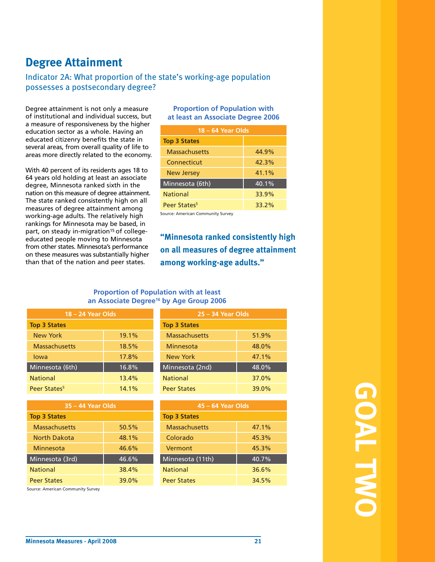#### **Degree Attainment**

#### Indicator 2A: What proportion of the state's working-age population possesses a postsecondary degree?

Degree attainment is not only a measure of institutional and individual success, but a measure of responsiveness by the higher education sector as a whole. Having an educated citizenry benefits the state in several areas, from overall quality of life to areas more directly related to the economy.

With 40 percent of its residents ages 18 to 64 years old holding at least an associate degree, Minnesota ranked sixth in the nation on this measure of degree attainment. The state ranked consistently high on all measures of degree attainment among working-age adults. The relatively high rankings for Minnesota may be based, in part, on steady in-migration<sup>15</sup> of collegeeducated people moving to Minnesota from other states. Minnesota's performance on these measures was substantially higher than that of the nation and peer states.

#### **Proportion of Population with at least an Associate Degree 2006**

| 18 – 64 Year Olds        |          |  |  |
|--------------------------|----------|--|--|
| <b>Top 3 States</b>      |          |  |  |
| <b>Massachusetts</b>     | 44.9%    |  |  |
| Connecticut              | 42.3%    |  |  |
| <b>New Jersey</b>        | 41.1%    |  |  |
| Minnesota (6th)          | $40.1\%$ |  |  |
| National                 | 33.9%    |  |  |
| Peer States <sup>5</sup> | 33.2%    |  |  |

Source: American Community Survey

#### **"Minnesota ranked consistently high on all measures of degree attainment among working-age adults."**

#### **Proportion of Population with at least an Associate Degree16 by Age Group 2006**

| $18 - 24$ Year Olds      |       | $25 - 34$ Year Olds  |       |  |
|--------------------------|-------|----------------------|-------|--|
| <b>Top 3 States</b>      |       | <b>Top 3 States</b>  |       |  |
| <b>New York</b>          | 19.1% | <b>Massachusetts</b> | 51.9% |  |
| <b>Massachusetts</b>     | 18.5% | Minnesota            | 48.0% |  |
| lowa                     | 17.8% | <b>New York</b>      | 47.1% |  |
| Minnesota (6th)          | 16.8% | Minnesota (2nd)      | 48.0% |  |
| <b>National</b>          | 13.4% | <b>National</b>      | 37.0% |  |
| Peer States <sup>5</sup> | 14.1% | <b>Peer States</b>   | 39.0% |  |

| $35 - 44$ Year Olds  |       | 45 - 64 Year Olds    |       |  |
|----------------------|-------|----------------------|-------|--|
| <b>Top 3 States</b>  |       | <b>Top 3 States</b>  |       |  |
| <b>Massachusetts</b> | 50.5% | <b>Massachusetts</b> | 47.1% |  |
| North Dakota         | 48.1% | Colorado             | 45.3% |  |
| Minnesota            | 46.6% | Vermont              | 45.3% |  |
| Minnesota (3rd)      | 46.6% | Minnesota (11th)     | 40.7% |  |
| <b>National</b>      | 38.4% | <b>National</b>      | 36.6% |  |
| <b>Peer States</b>   | 39.0% | <b>Peer States</b>   | 34.5% |  |

Source: American Community Survey

| 25 – 34 Year Olds   |       |  |  |  |  |
|---------------------|-------|--|--|--|--|
| <b>Top 3 States</b> |       |  |  |  |  |
| Massachusetts       | 51.9% |  |  |  |  |
| Minnesota           | 48.0% |  |  |  |  |
| New York            | 47.1% |  |  |  |  |
| Minnesota (2nd)     | 48.0% |  |  |  |  |
| <b>National</b>     | 37.0% |  |  |  |  |
| <b>Peer States</b>  | 39.0% |  |  |  |  |

| 35 – 44 Year Olds | 45 - 64 Year Olds    |       |
|-------------------|----------------------|-------|
|                   | <b>Top 3 States</b>  |       |
| 50.5%             | <b>Massachusetts</b> | 47.1% |
| 48.1%             | Colorado             | 45.3% |
| 46.6%             | Vermont              | 45.3% |
| 46.6%             | Minnesota (11th)     | 40.7% |
| 38.4%             | <b>National</b>      | 36.6% |
| 39.0%             | <b>Peer States</b>   | 34.5% |
|                   |                      |       |

**GOAL TWO**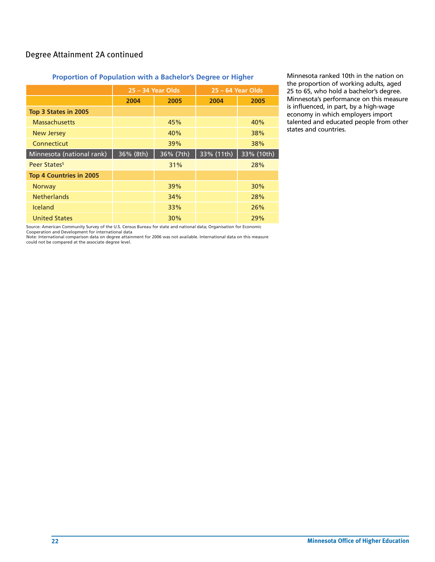#### Degree Attainment 2A continued

#### **Proportion of Population with a Bachelor's Degree or Higher**

|                                | $25 - 34$ Year Olds |           |            | $25 - 64$ Year Olds |
|--------------------------------|---------------------|-----------|------------|---------------------|
|                                | 2004                | 2005      | 2004       | 2005                |
| Top 3 States in 2005           |                     |           |            |                     |
| <b>Massachusetts</b>           |                     | 45%       |            | 40%                 |
| <b>New Jersey</b>              |                     | 40%       |            | 38%                 |
| Connecticut                    |                     | 39%       |            | 38%                 |
| Minnesota (national rank)      | 36% (8th)           | 36% (7th) | 33% (11th) | 33% (10th)          |
| Peer States <sup>5</sup>       |                     | 31%       |            | 28%                 |
| <b>Top 4 Countries in 2005</b> |                     |           |            |                     |
| Norway                         |                     | 39%       |            | 30%                 |
| <b>Netherlands</b>             |                     | 34%       |            | 28%                 |
| <b>Iceland</b>                 |                     | 33%       |            | 26%                 |
| <b>United States</b>           |                     | 30%       |            | 29%                 |

Minnesota ranked 10th in the nation on the proportion of working adults, aged 25 to 65, who hold a bachelor's degree. Minnesota's performance on this measure is influenced, in part, by a high-wage economy in which employers import talented and educated people from other states and countries.

Source: American Community Survey of the U.S. Census Bureau for state and national data; Organisation for Economic

Cooperation and Development for international data<br>Note: International comparison data on degree attainment for 2006 was not available. International data on this measure<br>could not be compared at the associate degree level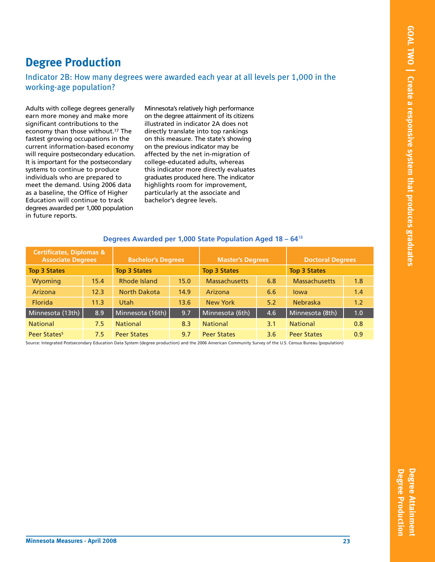#### **Degree Production**

#### Indicator 2B: How many degrees were awarded each year at all levels per 1,000 in the working-age population?

Adults with college degrees generally earn more money and make more significant contributions to the economy than those without.17 The fastest growing occupations in the current information-based economy will require postsecondary education. It is important for the postsecondary systems to continue to produce individuals who are prepared to meet the demand. Using 2006 data as a baseline, the Office of Higher Education will continue to track degrees awarded per 1,000 population in future reports.

Minnesota's relatively high performance on the degree attainment of its citizens illustrated in indicator 2A does not directly translate into top rankings on this measure. The state's showing on the previous indicator may be affected by the net in-migration of college-educated adults, whereas this indicator more directly evaluates graduates produced here. The indicator highlights room for improvement, particularly at the associate and bachelor's degree levels.

| <b>Certificates, Diplomas &amp;</b><br><b>Associate Degrees</b> |      | <b>Bachelor's Degrees</b> |      | <b>Master's Degrees</b> |               | <b>Doctoral Degrees</b> |     |
|-----------------------------------------------------------------|------|---------------------------|------|-------------------------|---------------|-------------------------|-----|
| <b>Top 3 States</b>                                             |      | <b>Top 3 States</b>       |      | <b>Top 3 States</b>     |               | <b>Top 3 States</b>     |     |
| Wyoming                                                         | 15.4 | Rhode Island              | 15.0 | <b>Massachusetts</b>    | 6.8           | <b>Massachusetts</b>    | 1.8 |
| Arizona                                                         | 12.3 | North Dakota              | 14.9 | Arizona                 | 6.6           | lowa                    | 1.4 |
| <b>Florida</b>                                                  | 11.3 | Utah                      | 13.6 | <b>New York</b>         | 5.2           | <b>Nebraska</b>         | 1.2 |
| Minnesota (13th)                                                | 8.9  | Minnesota (16th)          | 9.7  | Minnesota (6th)         | 4.6           | Minnesota (8th)         | 1.0 |
| <b>National</b>                                                 | 7.5  | <b>National</b>           | 8.3  | <b>National</b>         | 3.1           | <b>National</b>         | 0.8 |
| Peer States <sup>5</sup>                                        | 7.5  | <b>Peer States</b>        | 9.7  | <b>Peer States</b>      | $3.6^{\circ}$ | <b>Peer States</b>      | 0.9 |

#### **Degrees Awarded per 1,000 State Population Aged 18 – 64**<sup>18</sup>

Source: Integrated Postsecondary Education Data System (degree production) and the 2006 American Community Survey of the U.S. Census Bureau (population)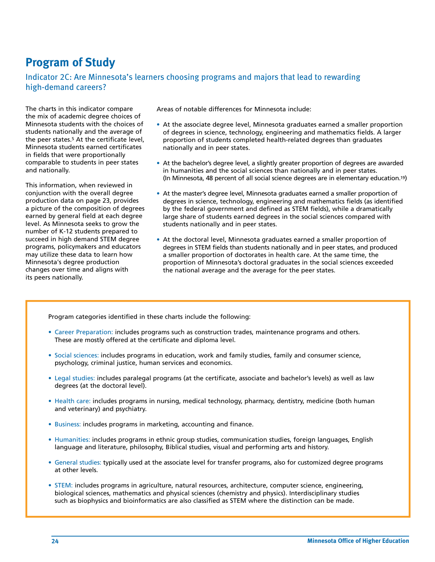#### **Program of Study**

#### Indicator 2C: Are Minnesota's learners choosing programs and majors that lead to rewarding high-demand careers?

The charts in this indicator compare the mix of academic degree choices of Minnesota students with the choices of students nationally and the average of the peer states.5 At the certificate level, Minnesota students earned certificates in fields that were proportionally comparable to students in peer states and nationally.

This information, when reviewed in conjunction with the overall degree production data on page 23, provides a picture of the composition of degrees earned by general field at each degree level. As Minnesota seeks to grow the number of K-12 students prepared to succeed in high demand STEM degree programs, policymakers and educators may utilize these data to learn how Minnesota's degree production changes over time and aligns with its peers nationally.

Areas of notable differences for Minnesota include:

- At the associate degree level, Minnesota graduates earned a smaller proportion of degrees in science, technology, engineering and mathematics fields. A larger proportion of students completed health-related degrees than graduates nationally and in peer states.
- At the bachelor's degree level, a slightly greater proportion of degrees are awarded in humanities and the social sciences than nationally and in peer states. (In Minnesota, 48 percent of all social science degrees are in elementary education.19)
- At the master's degree level, Minnesota graduates earned a smaller proportion of degrees in science, technology, engineering and mathematics fields (as identified by the federal government and defined as STEM fields), while a dramatically large share of students earned degrees in the social sciences compared with students nationally and in peer states.
- At the doctoral level, Minnesota graduates earned a smaller proportion of degrees in STEM fields than students nationally and in peer states, and produced a smaller proportion of doctorates in health care. At the same time, the proportion of Minnesota's doctoral graduates in the social sciences exceeded the national average and the average for the peer states.

Program categories identified in these charts include the following:

- Career Preparation: includes programs such as construction trades, maintenance programs and others. These are mostly offered at the certificate and diploma level.
- Social sciences: includes programs in education, work and family studies, family and consumer science, psychology, criminal justice, human services and economics.
- Legal studies: includes paralegal programs (at the certificate, associate and bachelor's levels) as well as law degrees (at the doctoral level).
- Health care: includes programs in nursing, medical technology, pharmacy, dentistry, medicine (both human and veterinary) and psychiatry.
- Business: includes programs in marketing, accounting and finance.
- Humanities: includes programs in ethnic group studies, communication studies, foreign languages, English language and literature, philosophy, Biblical studies, visual and performing arts and history.
- General studies: typically used at the associate level for transfer programs, also for customized degree programs at other levels.
- STEM: includes programs in agriculture, natural resources, architecture, computer science, engineering, biological sciences, mathematics and physical sciences (chemistry and physics). Interdisciplinary studies such as biophysics and bioinformatics are also classified as STEM where the distinction can be made.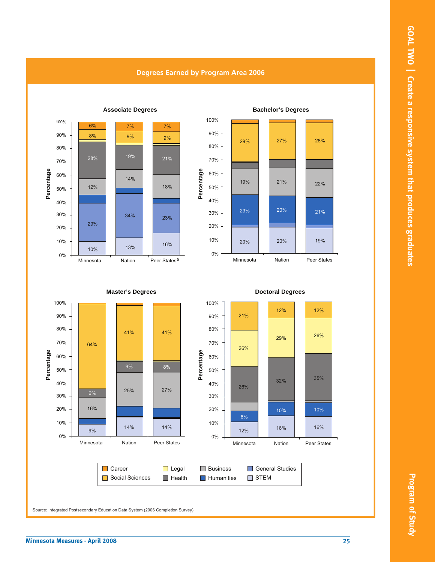

#### **Degrees Earned by Program Area 2006**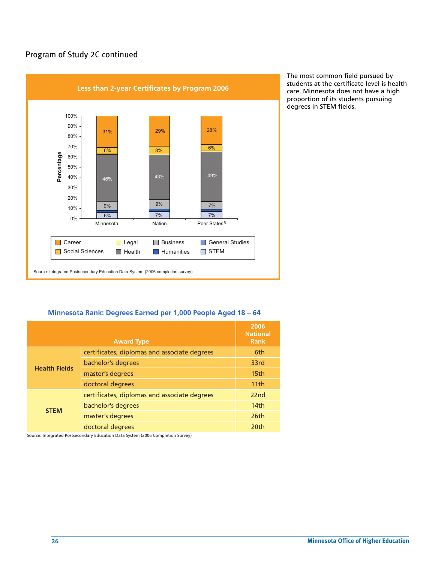#### Program of Study 2C continued



The most common field pursued by students at the certificate level is health care. Minnesota does not have a high proportion of its students pursuing degrees in STEM fields.

#### **Minnesota Rank: Degrees Earned per 1,000 People Aged 18 – 64**

|                      | <b>Award Type</b>                            | 2006<br><b>National</b><br><b>Rank</b> |
|----------------------|----------------------------------------------|----------------------------------------|
|                      | certificates, diplomas and associate degrees | 6th                                    |
| <b>Health Fields</b> | bachelor's degrees                           | 33rd                                   |
|                      | master's degrees                             | 15th                                   |
|                      | doctoral degrees                             | 11th                                   |
|                      | certificates, diplomas and associate degrees | 22nd                                   |
| <b>STEM</b>          | bachelor's degrees                           | 14 <sub>th</sub>                       |
|                      | master's degrees                             | 26th                                   |
|                      | doctoral degrees                             | 20th                                   |

Source: Integrated Postsecondary Education Data System (2006 Completion Survey)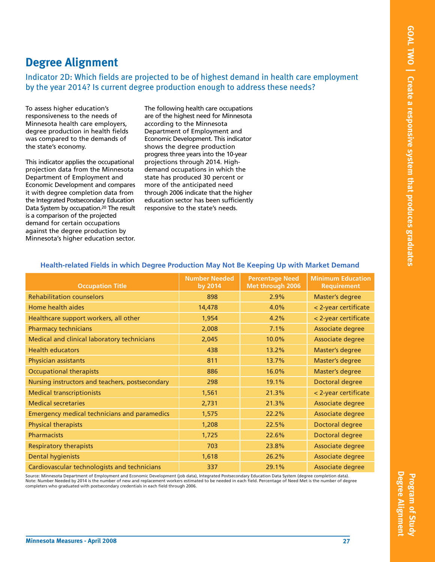#### **Degree Alignment**

Indicator 2D: Which fields are projected to be of highest demand in health care employment by the year 2014? Is current degree production enough to address these needs?

To assess higher education's responsiveness to the needs of Minnesota health care employers, degree production in health fields was compared to the demands of the state's economy.

This indicator applies the occupational projection data from the Minnesota Department of Employment and Economic Development and compares it with degree completion data from the Integrated Postsecondary Education Data System by occupation.20 The result is a comparison of the projected demand for certain occupations against the degree production by Minnesota's higher education sector. The following health care occupations are of the highest need for Minnesota according to the Minnesota Department of Employment and Economic Development. This indicator shows the degree production progress three years into the 10-year projections through 2014. Highdemand occupations in which the state has produced 30 percent or more of the anticipated need through 2006 indicate that the higher education sector has been sufficiently responsive to the state's needs.

| <b>Occupation Title</b>                             | <b>Number Needed</b><br>by 2014 | <b>Percentage Need</b><br>Met through 2006 | <b>Minimum Education</b><br><b>Requirement</b> |
|-----------------------------------------------------|---------------------------------|--------------------------------------------|------------------------------------------------|
| <b>Rehabilitation counselors</b>                    | 898                             | 2.9%                                       | <b>Master's degree</b>                         |
| Home health aides                                   | 14,478                          | 4.0%                                       | < 2-year certificate                           |
| Healthcare support workers, all other               | 1,954                           | 4.2%                                       | < 2-year certificate                           |
| <b>Pharmacy technicians</b>                         | 2,008                           | 7.1%                                       | Associate degree                               |
| Medical and clinical laboratory technicians         | 2,045                           | 10.0%                                      | Associate degree                               |
| <b>Health educators</b>                             | 438                             | 13.2%                                      | <b>Master's degree</b>                         |
| Physician assistants                                | 811                             | 13.7%                                      | <b>Master's degree</b>                         |
| <b>Occupational therapists</b>                      | 886                             | 16.0%                                      | <b>Master's degree</b>                         |
| Nursing instructors and teachers, postsecondary     | 298                             | 19.1%                                      | Doctoral degree                                |
| <b>Medical transcriptionists</b>                    | 1,561                           | 21.3%                                      | < 2-year certificate                           |
| <b>Medical secretaries</b>                          | 2,731                           | 21.3%                                      | Associate degree                               |
| <b>Emergency medical technicians and paramedics</b> | 1,575                           | 22.2%                                      | Associate degree                               |
| <b>Physical therapists</b>                          | 1,208                           | 22.5%                                      | Doctoral degree                                |
| <b>Pharmacists</b>                                  | 1,725                           | 22.6%                                      | Doctoral degree                                |
| <b>Respiratory therapists</b>                       | 703                             | 23.8%                                      | Associate degree                               |
| <b>Dental hygienists</b>                            | 1,618                           | 26.2%                                      | Associate degree                               |
| Cardiovascular technologists and technicians        | 337                             | 29.1%                                      | Associate degree                               |

#### **Health-related Fields in which Degree Production May Not Be Keeping Up with Market Demand**

Source: Minnesota Department of Employment and Economic Development (job data), Integrated Postsecondary Education Data System (degree completion data). Note: Number Needed by 2014 is the number of new and replacement workers estimated to be needed in each field. Percentage of Need Met is the number of degree completers who graduated with postsecondary credentials in each field through 2006.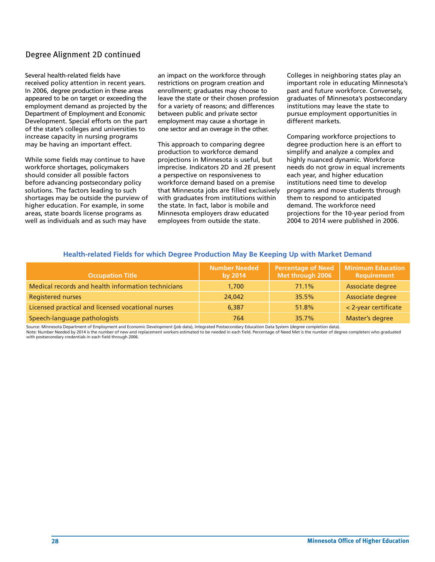#### Degree Alignment 2D continued

Several health-related fields have received policy attention in recent years. In 2006, degree production in these areas appeared to be on target or exceeding the employment demand as projected by the Department of Employment and Economic Development. Special efforts on the part of the state's colleges and universities to increase capacity in nursing programs may be having an important effect.

While some fields may continue to have workforce shortages, policymakers should consider all possible factors before advancing postsecondary policy solutions. The factors leading to such shortages may be outside the purview of higher education. For example, in some areas, state boards license programs as well as individuals and as such may have

an impact on the workforce through restrictions on program creation and enrollment; graduates may choose to leave the state or their chosen profession for a variety of reasons; and differences between public and private sector employment may cause a shortage in one sector and an overage in the other.

This approach to comparing degree production to workforce demand projections in Minnesota is useful, but imprecise. Indicators 2D and 2E present a perspective on responsiveness to workforce demand based on a premise that Minnesota jobs are filled exclusively with graduates from institutions within the state. In fact, labor is mobile and Minnesota employers draw educated employees from outside the state.

Colleges in neighboring states play an important role in educating Minnesota's past and future workforce. Conversely, graduates of Minnesota's postsecondary institutions may leave the state to pursue employment opportunities in different markets.

Comparing workforce projections to degree production here is an effort to simplify and analyze a complex and highly nuanced dynamic. Workforce needs do not grow in equal increments each year, and higher education institutions need time to develop programs and move students through them to respond to anticipated demand. The workforce need projections for the 10-year period from 2004 to 2014 were published in 2006.

| <b>Occupation Title</b>                            | <b>Number Needed</b><br>by 2014 | <b>Percentage of Need</b><br>Met through 2006 | <b>Minimum Education</b><br>Requirement |
|----------------------------------------------------|---------------------------------|-----------------------------------------------|-----------------------------------------|
| Medical records and health information technicians | 1,700                           | 71.1%                                         | Associate degree                        |
| <b>Registered nurses</b>                           | 24,042                          | 35.5%                                         | Associate degree                        |
| Licensed practical and licensed vocational nurses  | 6.387                           | 51.8%                                         | < 2-year certificate                    |
| Speech-language pathologists                       | 764                             | 35.7%                                         | Master's degree                         |

#### **Health-related Fields for which Degree Production May Be Keeping Up with Market Demand**

Source: Minnesota Department of Employment and Economic Development (job data), Integrated Postsecondary Education Data System (degree completion data). Note: Number Needed by 2014 is the number of new and replacement workers estimated to be needed in each field. Percentage of Need Met is the number of degree completers who graduated with postsecondary credentials in each field through 2006.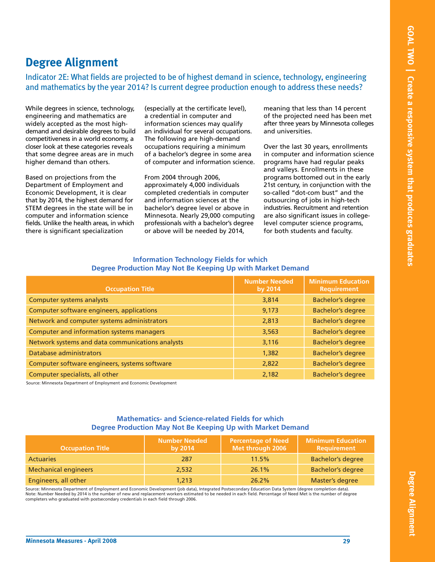#### **Degree Alignment**

Indicator 2E: What fields are projected to be of highest demand in science, technology, engineering and mathematics by the year 2014? Is current degree production enough to address these needs?

While degrees in science, technology, engineering and mathematics are widely accepted as the most highdemand and desirable degrees to build competitiveness in a world economy, a closer look at these categories reveals that some degree areas are in much higher demand than others.

Based on projections from the Department of Employment and Economic Development, it is clear that by 2014, the highest demand for STEM degrees in the state will be in computer and information science fields. Unlike the health areas, in which there is significant specialization

(especially at the certificate level), a credential in computer and information sciences may qualify an individual for several occupations. The following are high-demand occupations requiring a minimum of a bachelor's degree in some area of computer and information science.

From 2004 through 2006, approximately 4,000 individuals completed credentials in computer and information sciences at the bachelor's degree level or above in Minnesota. Nearly 29,000 computing professionals with a bachelor's degree or above will be needed by 2014,

meaning that less than 14 percent of the projected need has been met after three years by Minnesota colleges and universities.

Over the last 30 years, enrollments in computer and information science programs have had regular peaks and valleys. Enrollments in these programs bottomed out in the early 21st century, in conjunction with the so-called "dot-com bust" and the outsourcing of jobs in high-tech industries. Recruitment and retention are also significant issues in collegelevel computer science programs, for both students and faculty.

| <b>Occupation Title</b>                          | <b>Number Needed</b><br>by 2014 | <b>Minimum Education</b><br><b>Requirement</b> |
|--------------------------------------------------|---------------------------------|------------------------------------------------|
| <b>Computer systems analysts</b>                 | 3,814                           | <b>Bachelor's degree</b>                       |
| Computer software engineers, applications        | 9,173                           | <b>Bachelor's degree</b>                       |
| Network and computer systems administrators      | 2,813                           | <b>Bachelor's degree</b>                       |
| Computer and information systems managers        | 3,563                           | <b>Bachelor's degree</b>                       |
| Network systems and data communications analysts | 3,116                           | <b>Bachelor's degree</b>                       |
| Database administrators                          | 1,382                           | <b>Bachelor's degree</b>                       |
| Computer software engineers, systems software    | 2,822                           | <b>Bachelor's degree</b>                       |
| Computer specialists, all other                  | 2.182                           | <b>Bachelor's degree</b>                       |

#### **Information Technology Fields for which Degree Production May Not Be Keeping Up with Market Demand**

Source: Minnesota Department of Employment and Economic Development

#### **Mathematics- and Science-related Fields for which Degree Production May Not Be Keeping Up with Market Demand**

| <b>Occupation Title</b>     | <b>Number Needed</b><br>by 2014 | <b>Percentage of Need</b><br>Met through 2006 | <b>Minimum Education</b><br>Requirement |
|-----------------------------|---------------------------------|-----------------------------------------------|-----------------------------------------|
| <b>Actuaries</b>            | 287                             | 11.5%                                         | <b>Bachelor's degree</b>                |
| <b>Mechanical engineers</b> | 2.532                           | 26.1%                                         | <b>Bachelor's degree</b>                |
| Engineers, all other        | 1,213                           | 26.2%                                         | Master's degree                         |

Source: Minnesota Department of Employment and Economic Development (job data), Integrated Postsecondary Education Data System (degree completion data). Note: Number Needed by 2014 is the number of new and replacement workers estimated to be needed in each field. Percentage of Need Met is the number of degree completers who graduated with postsecondary credentials in each field through 2006.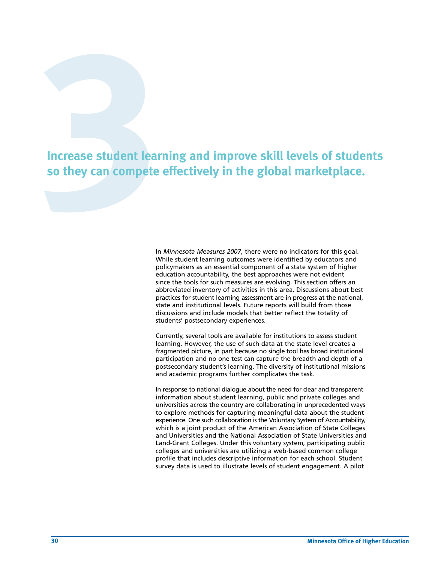# **3131 Increase student learning and improve skill levels of students**<br>50 they can compete effectively in the global marketplace.<br><sup>10</sup> <sup>Minnesota Measures 2007, there were no indicators for this goal.</sup> **so they can compete effectively in the global marketplace.**

In *Minnesota Measures 2007*, there were no indicators for this goal. While student learning outcomes were identified by educators and policymakers as an essential component of a state system of higher education accountability, the best approaches were not evident since the tools for such measures are evolving. This section offers an abbreviated inventory of activities in this area. Discussions about best practices for student learning assessment are in progress at the national, state and institutional levels. Future reports will build from those discussions and include models that better reflect the totality of students' postsecondary experiences.

Currently, several tools are available for institutions to assess student learning. However, the use of such data at the state level creates a fragmented picture, in part because no single tool has broad institutional participation and no one test can capture the breadth and depth of a postsecondary student's learning. The diversity of institutional missions and academic programs further complicates the task.

In response to national dialogue about the need for clear and transparent information about student learning, public and private colleges and universities across the country are collaborating in unprecedented ways to explore methods for capturing meaningful data about the student experience. One such collaboration is the Voluntary System of Accountability, which is a joint product of the American Association of State Colleges and Universities and the National Association of State Universities and Land-Grant Colleges. Under this voluntary system, participating public colleges and universities are utilizing a web-based common college profile that includes descriptive information for each school. Student survey data is used to illustrate levels of student engagement. A pilot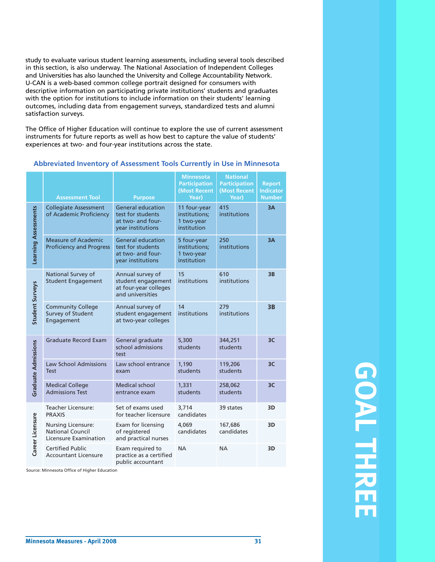study to evaluate various student learning assessments, including several tools described in this section, is also underway. The National Association of Independent Colleges and Universities has also launched the University and College Accountability Network. U-CAN is a web-based common college portrait designed for consumers with descriptive information on participating private institutions' students and graduates with the option for institutions to include information on their students' learning outcomes, including data from engagement surveys, standardized tests and alumni satisfaction surveys.

The Office of Higher Education will continue to explore the use of current assessment instruments for future reports as well as how best to capture the value of students' experiences at two- and four-year institutions across the state.

| <b>Assessment Tool</b>                                                        | <b>Purpose</b>                                                                          | <b>Minnesota</b><br><b>Participation</b><br>(Most Recent<br>Year) | <b>National</b><br><b>Participation</b><br>(Most Recent<br>Year) | <b>Report</b><br><b>Indicator</b><br><b>Number</b> |
|-------------------------------------------------------------------------------|-----------------------------------------------------------------------------------------|-------------------------------------------------------------------|------------------------------------------------------------------|----------------------------------------------------|
| <b>Collegiate Assessment</b><br>of Academic Proficiency                       | <b>General education</b><br>test for students<br>at two- and four-<br>year institutions | 11 four-year<br>institutions;<br>1 two-year<br>institution        | 415<br>institutions                                              | 3A                                                 |
| <b>Measure of Academic</b><br><b>Proficiency and Progress</b>                 | <b>General education</b><br>test for students<br>at two- and four-<br>year institutions | 5 four-year<br>institutions;<br>1 two-year<br>institution         | 250<br>institutions                                              | 3A                                                 |
| National Survey of<br><b>Student Engagement</b>                               | Annual survey of<br>student engagement<br>at four-year colleges<br>and universities     | 15<br>institutions                                                | 610<br>institutions                                              | 3B                                                 |
| <b>Community College</b><br>Survey of Student<br>Engagement                   | Annual survey of<br>student engagement<br>at two-year colleges                          | 14<br>institutions                                                | 279<br>institutions                                              | 3B                                                 |
| <b>Graduate Record Exam</b>                                                   | General graduate<br>school admissions<br>test                                           | 5,300<br>students                                                 | 344,251<br>students                                              | 3C                                                 |
| <b>Law School Admissions</b><br><b>Test</b>                                   | Law school entrance<br>exam                                                             | 1,190<br>students                                                 | 119,206<br>students                                              | 3C                                                 |
| <b>Medical College</b><br><b>Admissions Test</b>                              | <b>Medical school</b><br>entrance exam                                                  | 1,331<br>students                                                 | 258,062<br>students                                              | 3C                                                 |
| <b>Teacher Licensure:</b><br><b>PRAXIS</b>                                    | Set of exams used<br>for teacher licensure                                              | 3,714<br>candidates                                               | 39 states                                                        | 3D                                                 |
| <b>Nursing Licensure:</b><br><b>National Council</b><br>Licensure Examination | Exam for licensing<br>of registered<br>and practical nurses                             | 4.069<br>candidates                                               | 167,686<br>candidates                                            | 3D                                                 |
| <b>Certified Public</b><br><b>Accountant Licensure</b>                        | Exam required to<br>practice as a certified<br>public accountant                        | <b>NA</b>                                                         | <b>NA</b>                                                        | 3D                                                 |
|                                                                               |                                                                                         | Source: Minnesota Office of Higher Education                      |                                                                  |                                                    |

#### **Abbreviated Inventory of Assessment Tools Currently in Use in Minnesota**

## **GOALFHREE**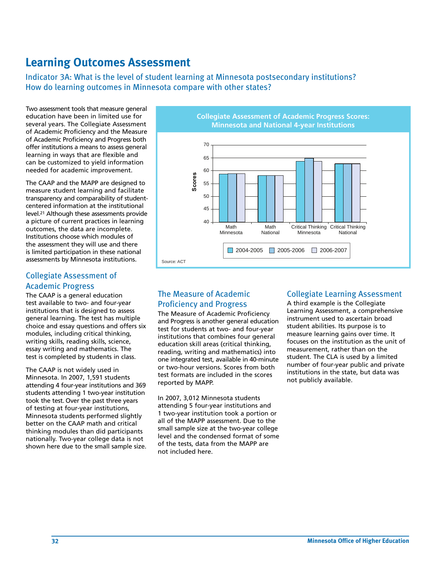#### **Learning Outcomes Assessment**

Indicator 3A: What is the level of student learning at Minnesota postsecondary institutions? How do learning outcomes in Minnesota compare with other states?

Two assessment tools that measure general education have been in limited use for several years. The Collegiate Assessment of Academic Proficiency and the Measure of Academic Proficiency and Progress both offer institutions a means to assess general learning in ways that are flexible and can be customized to yield information needed for academic improvement.

The CAAP and the MAPP are designed to measure student learning and facilitate transparency and comparability of studentcentered information at the institutional level.21 Although these assessments provide a picture of current practices in learning outcomes, the data are incomplete. Institutions choose which modules of the assessment they will use and there is limited participation in these national assessments by Minnesota institutions.

#### Collegiate Assessment of Academic Progress

The CAAP is a general education test available to two- and four-year institutions that is designed to assess general learning. The test has multiple choice and essay questions and offers six modules, including critical thinking, writing skills, reading skills, science, essay writing and mathematics. The test is completed by students in class.

The CAAP is not widely used in Minnesota. In 2007, 1,591 students attending 4 four-year institutions and 369 students attending 1 two-year institution took the test. Over the past three years of testing at four-year institutions, Minnesota students performed slightly better on the CAAP math and critical thinking modules than did participants nationally. Two-year college data is not shown here due to the small sample size.



#### The Measure of Academic Proficiency and Progress

The Measure of Academic Proficiency and Progress is another general education test for students at two- and four-year institutions that combines four general education skill areas (critical thinking, reading, writing and mathematics) into one integrated test, available in 40-minute or two-hour versions. Scores from both test formats are included in the scores reported by MAPP.

In 2007, 3,012 Minnesota students attending 5 four-year institutions and 1 two-year institution took a portion or all of the MAPP assessment. Due to the small sample size at the two-year college level and the condensed format of some of the tests, data from the MAPP are not included here.

#### Collegiate Learning Assessment

A third example is the Collegiate Learning Assessment, a comprehensive instrument used to ascertain broad student abilities. Its purpose is to measure learning gains over time. It focuses on the institution as the unit of measurement, rather than on the student. The CLA is used by a limited number of four-year public and private institutions in the state, but data was not publicly available.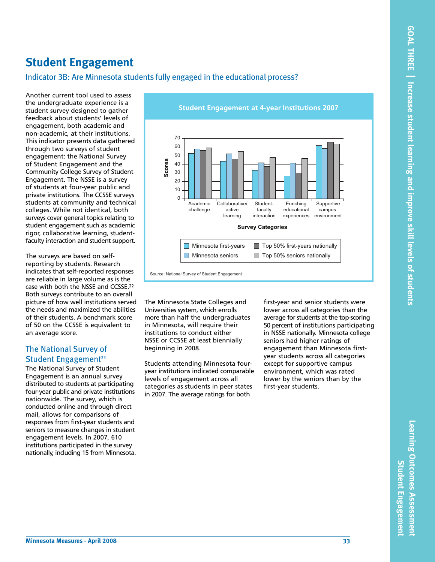#### **Student Engagement**

#### Indicator 3B: Are Minnesota students fully engaged in the educational process?

Another current tool used to assess the undergraduate experience is a student survey designed to gather feedback about students' levels of engagement, both academic and non-academic, at their institutions. This indicator presents data gathered through two surveys of student engagement: the National Survey of Student Engagement and the Community College Survey of Student Engagement. The NSSE is a survey of students at four-year public and private institutions. The CCSSE surveys students at community and technical colleges. While not identical, both surveys cover general topics relating to student engagement such as academic rigor, collaborative learning, studentfaculty interaction and student support.

The surveys are based on selfreporting by students. Research indicates that self-reported responses are reliable in large volume as is the case with both the NSSE and CCSSE.22 Both surveys contribute to an overall picture of how well institutions served the needs and maximized the abilities of their students. A benchmark score of 50 on the CCSSE is equivalent to an average score.

#### The National Survey of Student Engagement<sup>23</sup>

The National Survey of Student Engagement is an annual survey distributed to students at participating four-year public and private institutions nationwide. The survey, which is conducted online and through direct mail, allows for comparisons of responses from first-year students and seniors to measure changes in student engagement levels. In 2007, 610 institutions participated in the survey nationally, including 15 from Minnesota.



The Minnesota State Colleges and Universities system, which enrolls more than half the undergraduates in Minnesota, will require their institutions to conduct either NSSE or CCSSE at least biennially beginning in 2008.

Students attending Minnesota fouryear institutions indicated comparable levels of engagement across all categories as students in peer states in 2007. The average ratings for both

first-year and senior students were lower across all categories than the average for students at the top-scoring 50 percent of institutions participating in NSSE nationally. Minnesota college seniors had higher ratings of engagement than Minnesota firstyear students across all categories except for supportive campus environment, which was rated lower by the seniors than by the first-year students.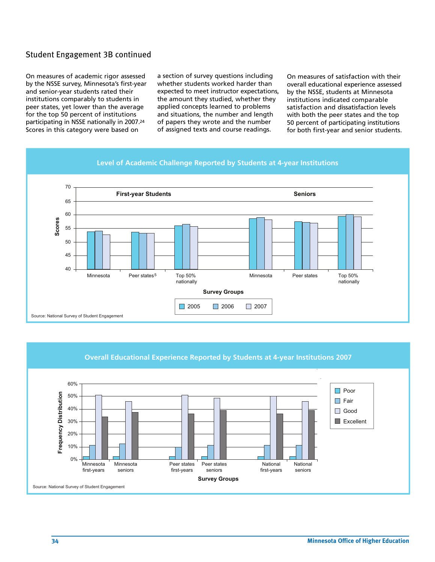#### Student Engagement 3B continued

On measures of academic rigor assessed by the NSSE survey, Minnesota's first-year and senior-year students rated their institutions comparably to students in peer states, yet lower than the average for the top 50 percent of institutions participating in NSSE nationally in 2007.24 Scores in this category were based on

a section of survey questions including whether students worked harder than expected to meet instructor expectations, the amount they studied, whether they applied concepts learned to problems and situations, the number and length of papers they wrote and the number of assigned texts and course readings.

On measures of satisfaction with their overall educational experience assessed by the NSSE, students at Minnesota institutions indicated comparable satisfaction and dissatisfaction levels with both the peer states and the top 50 percent of participating institutions for both first-year and senior students.



#### **Overall Educational Experience Reported by Students at 4-year Institutions 2007**

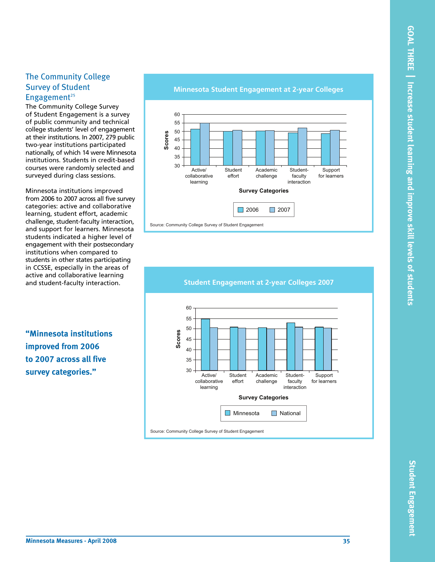**Student**

**En**

**gagement**

## The Community College Survey of Student Engagement<sup>25</sup>

The Community College Survey of Student Engagement is a survey of public community and technical college students' level of engagement at their institutions. In 2007, 279 public two-year institutions participated nationally, of which 14 were Minnesota institutions. Students in credit-based courses were randomly selected and surveyed during class sessions.

Minnesota institutions improved from 2006 to 2007 across all five survey categories: active and collaborative learning, student effort, academic challenge, student-faculty interaction, and support for learners. Minnesota students indicated a higher level of engagement with their postsecondary institutions when compared to students in other states participating in CCSSE, especially in the areas of active and collaborative learning and student-faculty interaction.

**"Minnesota institutions improved from 2006 to 2007 across all five survey categories."**

#### **Minnesota Student Engagement at 2-year Colleges**





**Student Engagement at 2-year Colleges 2007**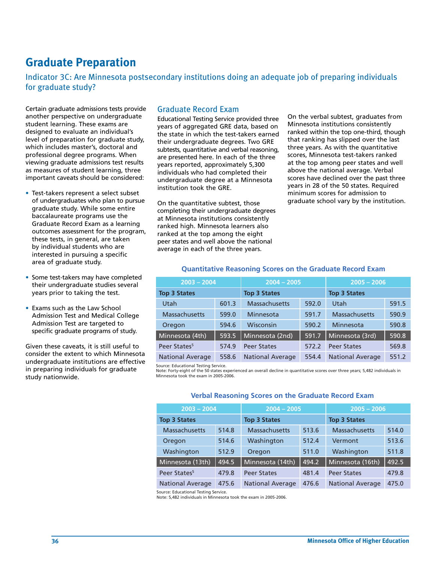# **Graduate Preparation**

Indicator 3C: Are Minnesota postsecondary institutions doing an adequate job of preparing individuals for graduate study?

Certain graduate admissions tests provide another perspective on undergraduate student learning. These exams are designed to evaluate an individual's level of preparation for graduate study, which includes master's, doctoral and professional degree programs. When viewing graduate admissions test results as measures of student learning, three important caveats should be considered:

- Test-takers represent a select subset of undergraduates who plan to pursue graduate study. While some entire baccalaureate programs use the Graduate Record Exam as a learning outcomes assessment for the program, these tests, in general, are taken by individual students who are interested in pursuing a specific area of graduate study.
- Some test-takers may have completed their undergraduate studies several years prior to taking the test.
- Exams such as the Law School Admission Test and Medical College Admission Test are targeted to specific graduate programs of study.

Given these caveats, it is still useful to consider the extent to which Minnesota undergraduate institutions are effective in preparing individuals for graduate study nationwide.

## Graduate Record Exam

Educational Testing Service provided three years of aggregated GRE data, based on the state in which the test-takers earned their undergraduate degrees. Two GRE subtests, quantitative and verbal reasoning, are presented here. In each of the three years reported, approximately 5,300 individuals who had completed their undergraduate degree at a Minnesota institution took the GRE.

On the quantitative subtest, those completing their undergraduate degrees at Minnesota institutions consistently ranked high. Minnesota learners also ranked at the top among the eight peer states and well above the national average in each of the three years.

On the verbal subtest, graduates from Minnesota institutions consistently ranked within the top one-third, though that ranking has slipped over the last three years. As with the quantitative scores, Minnesota test-takers ranked at the top among peer states and well above the national average. Verbal scores have declined over the past three years in 28 of the 50 states. Required minimum scores for admission to graduate school vary by the institution.

| $2003 - 2004$            |       | $2004 - 2005$           |       | $2005 - 2006$           |       |
|--------------------------|-------|-------------------------|-------|-------------------------|-------|
| <b>Top 3 States</b>      |       | <b>Top 3 States</b>     |       | <b>Top 3 States</b>     |       |
| <b>Utah</b>              | 601.3 | <b>Massachusetts</b>    | 592.0 | Utah                    | 591.5 |
| <b>Massachusetts</b>     | 599.0 | Minnesota               | 591.7 | <b>Massachusetts</b>    | 590.9 |
| Oregon                   | 594.6 | Wisconsin               | 590.2 | Minnesota               | 590.8 |
| Minnesota (4th)          | 593.5 | Minnesota (2nd)         | 591.7 | Minnesota (3rd)         | 590.8 |
| Peer States <sup>5</sup> | 574.9 | <b>Peer States</b>      | 572.2 | <b>Peer States</b>      | 569.8 |
| <b>National Average</b>  | 558.6 | <b>National Average</b> | 554.4 | <b>National Average</b> | 551.2 |

#### **Quantitative Reasoning Scores on the Graduate Record Exam**

Source: Educational Testing Service.

Note: Forty-eight of the 50 states experienced an overall decline in quantitative scores over three years; 5,482 individuals in Minnesota took the exam in 2005-2006.

#### **Verbal Reasoning Scores on the Graduate Record Exam**

| $2003 - 2004$            |                     | $2004 - 2005$           |                     | $2005 - 2006$           |       |
|--------------------------|---------------------|-------------------------|---------------------|-------------------------|-------|
| <b>Top 3 States</b>      | <b>Top 3 States</b> |                         | <b>Top 3 States</b> |                         |       |
| <b>Massachusetts</b>     | 514.8               | <b>Massachusetts</b>    | 513.6               | <b>Massachusetts</b>    | 514.0 |
| Oregon                   | 514.6               | Washington              | 512.4               | Vermont                 | 513.6 |
| Washington               | 512.9               | Oregon                  | 511.0               | Washington              | 511.8 |
| Minnesota (13th)         | 494.5               | Minnesota (14th)        | 494.2               | Minnesota (16th)        | 492.5 |
| Peer States <sup>5</sup> | 479.8               | <b>Peer States</b>      | 481.4               | <b>Peer States</b>      | 479.8 |
| <b>National Average</b>  | 475.6               | <b>National Average</b> | 476.6               | <b>National Average</b> | 475.0 |

Source: Educational Testing Service.

Note: 5,482 individuals in Minnesota took the exam in 2005-2006.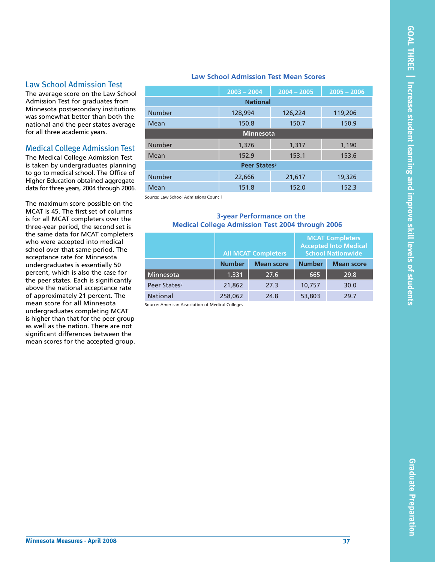#### Law School Admission Test

The average score on the Law School Admission Test for graduates from Minnesota postsecondary institutions was somewhat better than both the national and the peer states average for all three academic years.

## Medical College Admission Test

The Medical College Admission Test is taken by undergraduates planning to go to medical school. The Office of Higher Education obtained aggregate data for three years, 2004 through 2006.

The maximum score possible on the MCAT is 45. The first set of columns is for all MCAT completers over the three-year period, the second set is the same data for MCAT completers who were accepted into medical school over that same period. The acceptance rate for Minnesota undergraduates is essentially 50 percent, which is also the case for the peer states. Each is significantly above the national acceptance rate of approximately 21 percent. The mean score for all Minnesota undergraduates completing MCAT is higher than that for the peer group as well as the nation. There are not significant differences between the mean scores for the accepted group.

#### **Law School Admission Test Mean Scores**

|                          | $2003 - 2004$   | $2004 - 2005$ | $2005 - 2006$ |  |  |
|--------------------------|-----------------|---------------|---------------|--|--|
|                          | <b>National</b> |               |               |  |  |
| <b>Number</b>            | 128,994         | 126,224       | 119,206       |  |  |
| Mean                     | 150.8           | 150.7         | 150.9         |  |  |
| Minnesota                |                 |               |               |  |  |
| <b>Number</b>            | 1,376           | 1,317         | 1,190         |  |  |
| Mean                     | 152.9           | 153.1         | 153.6         |  |  |
| Peer States <sup>5</sup> |                 |               |               |  |  |
| <b>Number</b>            | 22,666          | 21,617        | 19,326        |  |  |
| Mean                     | 151.8           | 152.0         | 152.3         |  |  |

Source: Law School Admissions Council

#### **3-year Performance on the Medical College Admission Test 2004 through 2006**

|                          |               | <b>All MCAT Completers</b> |               | <b>MCAT Completers</b><br><b>Accepted Into Medical</b><br><b>School Nationwide</b> |
|--------------------------|---------------|----------------------------|---------------|------------------------------------------------------------------------------------|
|                          | <b>Number</b> | <b>Mean score</b>          | <b>Number</b> | <b>Mean score</b>                                                                  |
| Minnesota                | 1,331         | 27.6                       | 665           | 29.8                                                                               |
| Peer States <sup>5</sup> | 21,862        | 27.3                       | 10,757        | 30.0                                                                               |
| <b>National</b>          | 258,062       | 24.8                       | 53,803        | 29.7                                                                               |

Source: American Association of Medical Colleges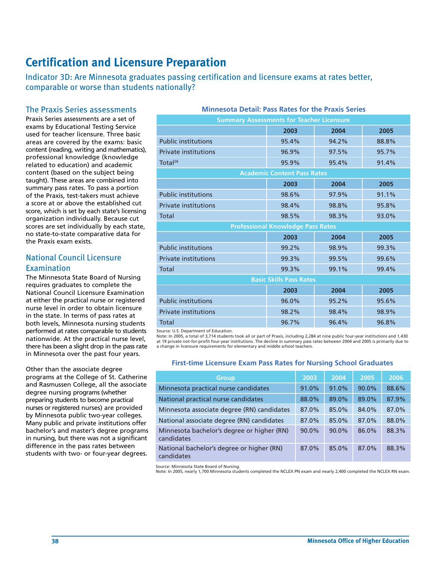# **Certification and Licensure Preparation**

Indicator 3D: Are Minnesota graduates passing certification and licensure exams at rates better, comparable or worse than students nationally?

## The Praxis Series assessments

Praxis Series assessments are a set of exams by Educational Testing Service used for teacher licensure. Three basic areas are covered by the exams: basic content (reading, writing and mathematics), professional knowledge (knowledge related to education) and academic content (based on the subject being taught). These areas are combined into summary pass rates. To pass a portion of the Praxis, test-takers must achieve a score at or above the established cut score, which is set by each state's licensing organization individually. Because cut scores are set individually by each state, no state-to-state comparative data for the Praxis exam exists.

## National Council Licensure Examination

The Minnesota State Board of Nursing requires graduates to complete the National Council Licensure Examination at either the practical nurse or registered nurse level in order to obtain licensure in the state. In terms of pass rates at both levels, Minnesota nursing students performed at rates comparable to students nationwide. At the practical nurse level, there has been a slight drop in the pass rate in Minnesota over the past four years.

Other than the associate degree programs at the College of St. Catherine and Rasmussen College, all the associate degree nursing programs (whether preparing students to become practical nurses or registered nurses) are provided by Minnesota public two-year colleges. Many public and private institutions offer bachelor's and master's degree programs in nursing, but there was not a significant difference in the pass rates between students with two- or four-year degrees.

## **Minnesota Detail: Pass Rates for the Praxis Series**

| <b>Summary Assessments for Teacher Licensure</b> |                                          |       |       |  |  |  |
|--------------------------------------------------|------------------------------------------|-------|-------|--|--|--|
|                                                  | 2003                                     | 2004  | 2005  |  |  |  |
| <b>Public institutions</b>                       | 95.4%                                    | 94.2% | 88.8% |  |  |  |
| <b>Private institutions</b>                      | 96.9%                                    | 97.5% | 95.7% |  |  |  |
| Total <sup>26</sup>                              | 95.9%                                    | 95.4% | 91.4% |  |  |  |
|                                                  | <b>Academic Content Pass Rates</b>       |       |       |  |  |  |
|                                                  | 2003                                     | 2004  | 2005  |  |  |  |
| <b>Public institutions</b>                       | 98.6%                                    | 97.9% | 91.1% |  |  |  |
| <b>Private institutions</b>                      | 98.4%                                    | 98.8% | 95.8% |  |  |  |
| <b>Total</b>                                     | 98.5%                                    | 98.3% | 93.0% |  |  |  |
|                                                  | <b>Professional Knowledge Pass Rates</b> |       |       |  |  |  |
|                                                  | 2003                                     | 2004  | 2005  |  |  |  |
| <b>Public institutions</b>                       | 99.2%                                    | 98.9% | 99.3% |  |  |  |
| <b>Private institutions</b>                      | 99.3%                                    | 99.5% | 99.6% |  |  |  |
| <b>Total</b>                                     | 99.3%                                    | 99.1% | 99.4% |  |  |  |
|                                                  | <b>Basic Skills Pass Rates</b>           |       |       |  |  |  |
|                                                  | 2003                                     | 2004  | 2005  |  |  |  |
| <b>Public institutions</b>                       | 96.0%                                    | 95.2% | 95.6% |  |  |  |
| <b>Private institutions</b>                      | 98.2%                                    | 98.4% | 98.9% |  |  |  |
| <b>Total</b>                                     | 96.7%                                    | 96.4% | 96.8% |  |  |  |

Source: U.S. Department of Education.

Note: In 2005, a total of 3,714 students took all or part of Praxis, including 2,284 at nine public four-year institutions and 1,430<br>at 19 private not-for-profit four-year institutions. The decline in summary pass rates be a change in licensure requirements for elementary and middle school teachers.

#### **First-time Licensure Exam Pass Rates for Nursing School Graduates**

| <b>Group</b>                                             | 2003  | 2004  | 2005  | 2006  |
|----------------------------------------------------------|-------|-------|-------|-------|
| Minnesota practical nurse candidates                     | 91.0% | 91.0% | 90.0% | 88.6% |
| National practical nurse candidates                      | 88.0% | 89.0% | 89.0% | 87.9% |
| Minnesota associate degree (RN) candidates               | 87.0% | 85.0% | 84.0% | 87.0% |
| National associate degree (RN) candidates                | 87.0% | 85.0% | 87.0% | 88.0% |
| Minnesota bachelor's degree or higher (RN)<br>candidates | 90.0% | 90.0% | 86.0% | 88.3% |
| National bachelor's degree or higher (RN)<br>candidates  | 87.0% | 85.0% | 87.0% | 88.3% |

Source: Minnesota State Board of Nursing.

Note: In 2005, nearly 1,700 Minnesota students completed the NCLEX PN exam and nearly 2,400 completed the NCLEX RN exam.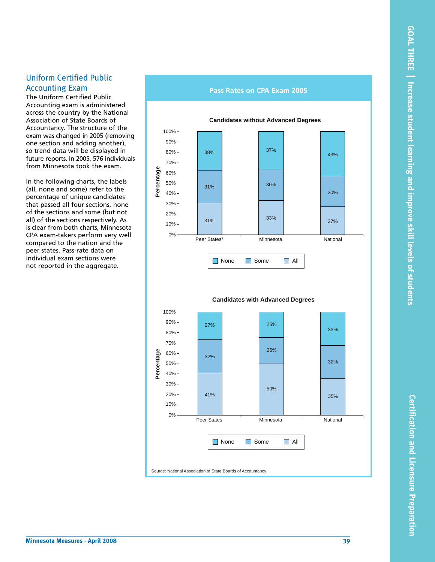**Certification and Licensure Preparation**

Certification and Licensure Preparation

## Uniform Certified Public Accounting Exam

The Uniform Certified Public Accounting exam is administered across the country by the National Association of State Boards of Accountancy. The structure of the exam was changed in 2005 (removing one section and adding another), so trend data will be displayed in future reports. In 2005, 576 individuals from Minnesota took the exam.

In the following charts, the labels (all, none and some) refer to the percentage of unique candidates that passed all four sections, none of the sections and some (but not all) of the sections respectively. As is clear from both charts, Minnesota CPA exam-takers perform very well compared to the nation and the peer states. Pass-rate data on individual exam sections were not reported in the aggregate.

#### **Pass Rates on CPA Exam 2005**





**Candidates with Advanced Degrees**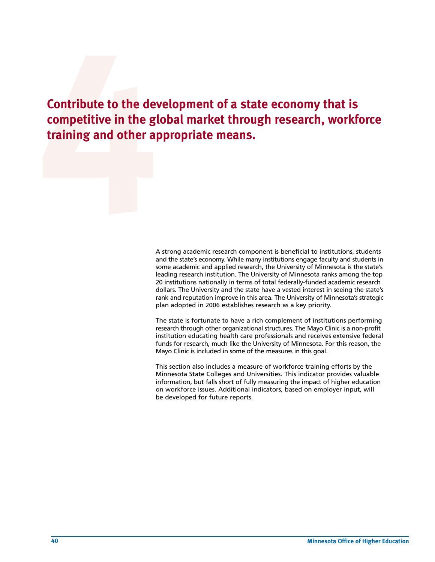**Contribute to the dev**<br> **competitive in the gland other aperture in the stand other aperture in the stand other aperture in the standard standard component of a standard component of a standard component of a standard com Contribute to the development of a state economy that is competitive in the global market through research, workforce training and other appropriate means.**

A strong academic research component is beneficial to institutions, students and the state's economy. While many institutions engage faculty and students in some academic and applied research, the University of Minnesota is the state's leading research institution. The University of Minnesota ranks among the top 20 institutions nationally in terms of total federally-funded academic research dollars. The University and the state have a vested interest in seeing the state's rank and reputation improve in this area. The University of Minnesota's strategic plan adopted in 2006 establishes research as a key priority.

The state is fortunate to have a rich complement of institutions performing research through other organizational structures. The Mayo Clinic is a non-profit institution educating health care professionals and receives extensive federal funds for research, much like the University of Minnesota. For this reason, the Mayo Clinic is included in some of the measures in this goal.

This section also includes a measure of workforce training efforts by the Minnesota State Colleges and Universities. This indicator provides valuable information, but falls short of fully measuring the impact of higher education on workforce issues. Additional indicators, based on employer input, will be developed for future reports.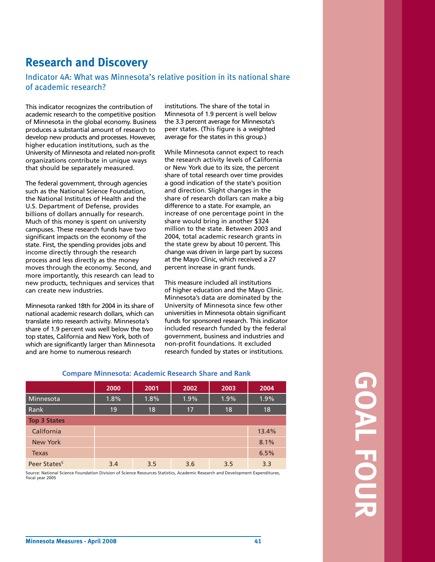# **Research and Discovery**

## Indicator 4A: What was Minnesota's relative position in its national share of academic research?

This indicator recognizes the contribution of academic research to the competitive position of Minnesota in the global economy. Business produces a substantial amount of research to develop new products and processes. However, higher education institutions, such as the University of Minnesota and related non-profit organizations contribute in unique ways that should be separately measured.

The federal government, through agencies such as the National Science Foundation, the National Institutes of Health and the U.S. Department of Defense, provides billions of dollars annually for research. Much of this money is spent on university campuses. These research funds have two significant impacts on the economy of the state. First, the spending provides jobs and income directly through the research process and less directly as the money moves through the economy. Second, and more importantly, this research can lead to new products, techniques and services that can create new industries.

Minnesota ranked 18th for 2004 in its share of national academic research dollars, which can translate into research activity. Minnesota's share of 1.9 percent was well below the two top states, California and New York, both of which are significantly larger than Minnesota and are home to numerous research

institutions. The share of the total in Minnesota of 1.9 percent is well below the 3.3 percent average for Minnesota's peer states. (This figure is a weighted average for the states in this group.)

While Minnesota cannot expect to reach the research activity levels of California or New York due to its size, the percent share of total research over time provides a good indication of the state's position and direction. Slight changes in the share of research dollars can make a big difference to a state. For example, an increase of one percentage point in the share would bring in another \$324 million to the state. Between 2003 and 2004, total academic research grants in the state grew by about 10 percent. This change was driven in large part by success at the Mayo Clinic, which received a 27 percent increase in grant funds.

This measure included all institutions of higher education and the Mayo Clinic. Minnesota's data are dominated by the University of Minnesota since few other universities in Minnesota obtain significant funds for sponsored research. This indicator included research funded by the federal government, business and industries and non-profit foundations. It excluded research funded by states or institutions.

|                          | 2000 | 2001 | 2002 | 2003 | 2004  |
|--------------------------|------|------|------|------|-------|
| Minnesota                | 1.8% | 1.8% | 1.9% | 1.9% | 1.9%  |
| Rank                     | 19   | 18   | 17   | 18   | 18    |
| <b>Top 3 States</b>      |      |      |      |      |       |
| California               |      |      |      |      | 13.4% |
| New York                 |      |      |      |      | 8.1%  |
| <b>Texas</b>             |      |      |      |      | 6.5%  |
| Peer States <sup>5</sup> | 3.4  | 3.5  | 3.6  | 3.5  | 3.3   |

Source: National Science Foundation Division of Science Resources Statistics, Academic Research and Development Expenditures, fiscal year 2005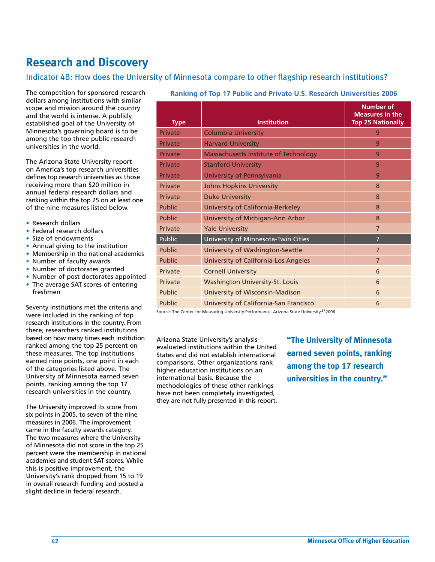# **Research and Discovery**

## Indicator 4B: How does the University of Minnesota compare to other flagship research institutions?

The competition for sponsored research dollars among institutions with similar scope and mission around the country and the world is intense. A publicly established goal of the University of Minnesota's governing board is to be among the top three public research universities in the world.

The Arizona State University report on America's top research universities defines top research universities as those receiving more than \$20 million in annual federal research dollars and ranking within the top 25 on at least one of the nine measures listed below.

- Research dollars
- Federal research dollars
- Size of endowments
- Annual giving to the institution
- Membership in the national academies
- Number of faculty awards
- Number of doctorates granted
- Number of post doctorates appointed
- The average SAT scores of entering freshmen

Seventy institutions met the criteria and were included in the ranking of top research institutions in the country. From there, researchers ranked institutions based on how many times each institution ranked among the top 25 percent on these measures. The top institutions earned nine points, one point in each of the categories listed above. The University of Minnesota earned seven points, ranking among the top 17 research universities in the country.

The University improved its score from six points in 2005, to seven of the nine measures in 2006. The improvement came in the faculty awards category. The two measures where the University of Minnesota did not score in the top 25 percent were the membership in national academies and student SAT scores. While this is positive improvement, the University's rank dropped from 15 to 19 in overall research funding and posted a slight decline in federal research.

| <b>Type</b>   | <b>Institution</b>                          | <b>Number of</b><br><b>Measures in the</b><br><b>Top 25 Nationally</b> |
|---------------|---------------------------------------------|------------------------------------------------------------------------|
| Private       | <b>Columbia University</b>                  | 9                                                                      |
| Private       | <b>Harvard University</b>                   | 9                                                                      |
| Private       | Massachusetts Institute of Technology       | 9                                                                      |
| Private       | <b>Stanford University</b>                  | 9                                                                      |
| Private       | University of Pennsylvania                  | 9                                                                      |
| Private       | <b>Johns Hopkins University</b>             | 8                                                                      |
| Private       | <b>Duke University</b>                      | 8                                                                      |
| <b>Public</b> | University of California-Berkeley           | 8                                                                      |
| <b>Public</b> | University of Michigan-Ann Arbor            | 8                                                                      |
| Private       | <b>Yale University</b>                      | $\overline{7}$                                                         |
| Public        | University of Minnesota-Twin Cities         | $\overline{7}$                                                         |
| <b>Public</b> | <b>University of Washington-Seattle</b>     | $\overline{7}$                                                         |
| <b>Public</b> | <b>University of California-Los Angeles</b> | $\overline{7}$                                                         |
| Private       | <b>Cornell University</b>                   | 6                                                                      |
| Private       | <b>Washington University-St. Louis</b>      | 6                                                                      |
| <b>Public</b> | University of Wisconsin-Madison             | 6                                                                      |
| Public        | University of California-San Francisco      | 6                                                                      |

#### **Ranking of Top 17 Public and Private U.S. Research Universities 2006**

Source: The Center for Measuring University Performance, Arizona State University, 272006

Arizona State University's analysis evaluated institutions within the United States and did not establish international comparisons. Other organizations rank higher education institutions on an international basis. Because the methodologies of these other rankings have not been completely investigated, they are not fully presented in this report. **"The University of Minnesota earned seven points, ranking among the top 17 research universities in the country."**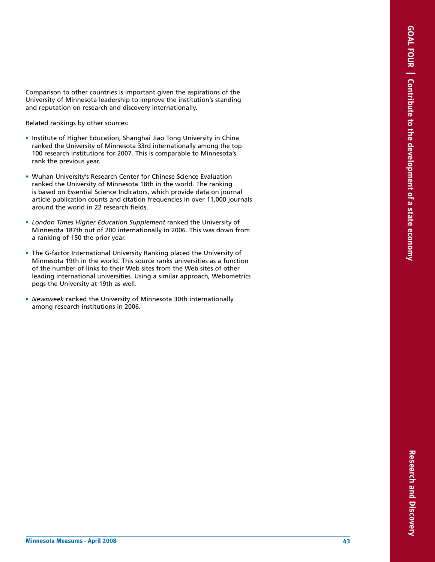Comparison to other countries is important given the aspirations of the University of Minnesota leadership to improve the institution's standing and reputation on research and discovery internationally.

- Related rankings by other sources:<br>• Institute of Higher Education, Shanghai Jiao Tong University in China ranked the University of Minnesota 33rd internationally among the top 100 research institutions for 2007. This is comparable to Minnesota's rank the previous year.
- Wuhan University's Research Center for Chinese Science Evaluation ranked the University of Minnesota 18th in the world. The ranking is based on Essential Science Indicators, which provide data on journal article publication counts and citation frequencies in over 11,000 journals around the world in 22 research fields.
- *London Times Higher Education Supplement* ranked the University of Minnesota 187th out of 200 internationally in 2006. This was down from a ranking of 150 the prior year.
- The G-factor International University Ranking placed the University of Minnesota 19th in the world. This source ranks universities as a function of the number of links to their Web sites from the Web sites of other leading international universities. Using a similar approach, Webometrics pegs the University at 19th as well.
- *Newsweek* ranked the University of Minnesota 30th internationally among research institutions in 2006.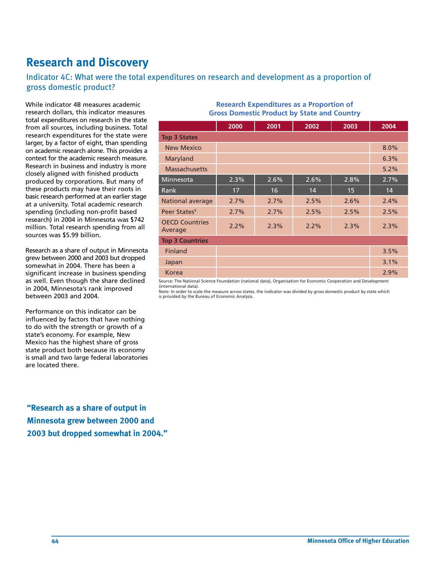# **Research and Discovery**

Indicator 4C: What were the total expenditures on research and development as a proportion of gross domestic product?

While indicator 4B measures academic research dollars, this indicator measures total expenditures on research in the state from all sources, including business. Total research expenditures for the state were larger, by a factor of eight, than spending on academic research alone. This provides a context for the academic research measure. Research in business and industry is more closely aligned with finished products produced by corporations. But many of these products may have their roots in basic research performed at an earlier stage at a university. Total academic research spending (including non-profit based research) in 2004 in Minnesota was \$742 million. Total research spending from all sources was \$5.99 billion.

Research as a share of output in Minnesota grew between 2000 and 2003 but dropped somewhat in 2004. There has been a significant increase in business spending as well. Even though the share declined in 2004, Minnesota's rank improved between 2003 and 2004.

Performance on this indicator can be influenced by factors that have nothing to do with the strength or growth of a state's economy. For example, New Mexico has the highest share of gross state product both because its economy is small and two large federal laboratories are located there.

**"Research as a share of output in Minnesota grew between 2000 and 2003 but dropped somewhat in 2004."**

#### **Research Expenditures as a Proportion of Gross Domestic Product by State and Country**

|                                  | 2000 | 2001 | 2002    | 2003 | 2004 |
|----------------------------------|------|------|---------|------|------|
| <b>Top 3 States</b>              |      |      |         |      |      |
| <b>New Mexico</b>                |      |      |         |      | 8.0% |
| Maryland                         |      |      |         |      | 6.3% |
| <b>Massachusetts</b>             |      |      |         |      | 5.2% |
| Minnesota                        | 2.3% | 2.6% | $2.6\%$ | 2.8% | 2.7% |
| Rank                             | 17   | 16   | 14      | 15   | 14   |
| National average                 | 2.7% | 2.7% | 2.5%    | 2.6% | 2.4% |
| Peer States <sup>5</sup>         | 2.7% | 2.7% | 2.5%    | 2.5% | 2.5% |
| <b>OECD Countries</b><br>Average | 2.2% | 2.3% | 2.2%    | 2.3% | 2.3% |
| <b>Top 3 Countries</b>           |      |      |         |      |      |
| Finland                          |      |      |         |      | 3.5% |
| Japan                            |      |      |         |      | 3.1% |
| Korea                            |      |      |         |      | 2.9% |

Source: The National Science Foundation (national data), Organisation for Economic Cooperation and Development (international data).

Note: In order to scale the measure across states, the indicator was divided by gross domestic product by state which is provided by the Bureau of Economic Analysis.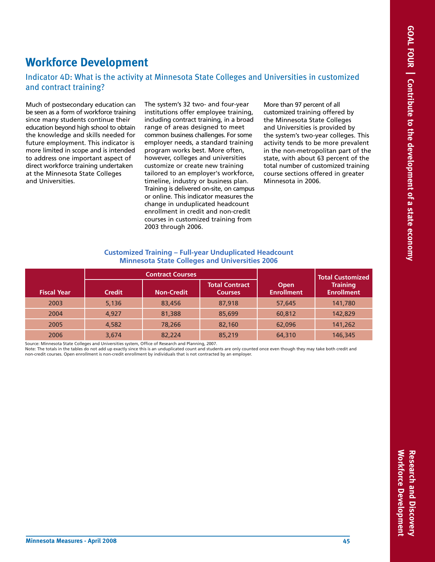# **Workforce Development**

## Indicator 4D: What is the activity at Minnesota State Colleges and Universities in customized and contract training?

Much of postsecondary education can be seen as a form of workforce training since many students continue their education beyond high school to obtain the knowledge and skills needed for future employment. This indicator is more limited in scope and is intended to address one important aspect of direct workforce training undertaken at the Minnesota State Colleges and Universities.

The system's 32 two- and four-year institutions offer employee training, including contract training, in a broad range of areas designed to meet common business challenges. For some employer needs, a standard training program works best. More often, however, colleges and universities customize or create new training tailored to an employer's workforce, timeline, industry or business plan. Training is delivered on-site, on campus or online. This indicator measures the change in unduplicated headcount enrollment in credit and non-credit courses in customized training from 2003 through 2006.

More than 97 percent of all customized training offered by the Minnesota State Colleges and Universities is provided by the system's two-year colleges. This activity tends to be more prevalent in the non-metropolitan part of the state, with about 63 percent of the total number of customized training course sections offered in greater Minnesota in 2006.

#### **Customized Training – Full-year Unduplicated Headcount Minnesota State Colleges and Universities 2006**

|                    | <b>Contract Courses</b> |                   |                                         |                           | Total Customized                     |
|--------------------|-------------------------|-------------------|-----------------------------------------|---------------------------|--------------------------------------|
| <b>Fiscal Year</b> | <b>Credit</b>           | <b>Non-Credit</b> | <b>Total Contract</b><br><b>Courses</b> | Open<br><b>Enrollment</b> | <b>Training</b><br><b>Enrollment</b> |
| 2003               | 5,136                   | 83,456            | 87,918                                  | 57,645                    | 141,780                              |
| 2004               | 4.927                   | 81,388            | 85,699                                  | 60,812                    | 142,829                              |
| 2005               | 4.582                   | 78,266            | 82,160                                  | 62,096                    | 141,262                              |
| 2006               | 3,674                   | 82,224            | 85,219                                  | 64,310                    | 146,345                              |

Source: Minnesota State Colleges and Universities system, Office of Research and Planning, 2007.

Note: The totals in the tables do not add up exactly since this is an unduplicated count and students are only counted once even though they may take both credit and<br>non-credit courses. Open enrollment is non-credit enroll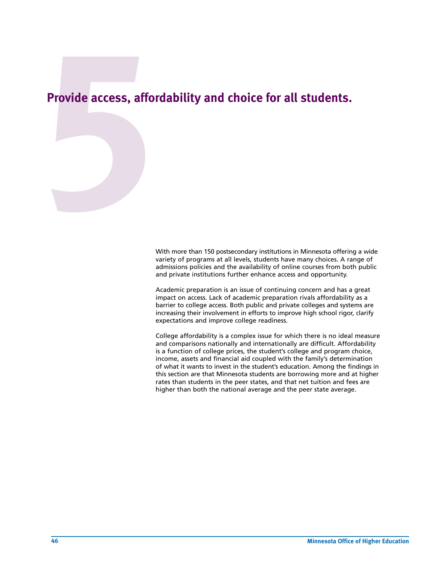# Provide access, afford **Provide access, affordability and choice for all students.**

With more than 150 postsecondary institutions in Minnesota offering a wide variety of programs at all levels, students have many choices. A range of admissions policies and the availability of online courses from both public and private institutions further enhance access and opportunity.

Academic preparation is an issue of continuing concern and has a great impact on access. Lack of academic preparation rivals affordability as a barrier to college access. Both public and private colleges and systems are increasing their involvement in efforts to improve high school rigor, clarify expectations and improve college readiness.

College affordability is a complex issue for which there is no ideal measure and comparisons nationally and internationally are difficult. Affordability is a function of college prices, the student's college and program choice, income, assets and financial aid coupled with the family's determination of what it wants to invest in the student's education. Among the findings in this section are that Minnesota students are borrowing more and at higher rates than students in the peer states, and that net tuition and fees are higher than both the national average and the peer state average.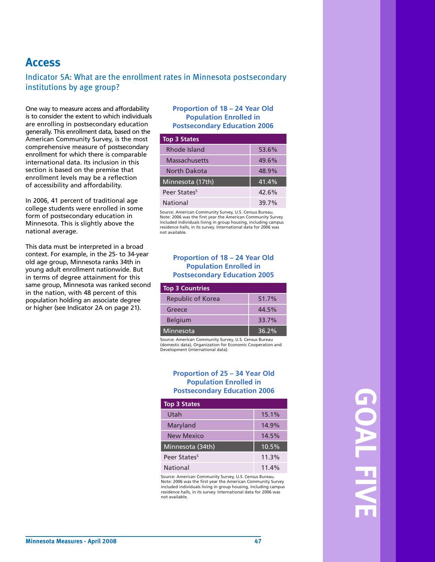# **Access**

## Indicator 5A: What are the enrollment rates in Minnesota postsecondary institutions by age group?

One way to measure access and affordability is to consider the extent to which individuals are enrolling in postsecondary education generally. This enrollment data, based on the American Community Survey, is the most comprehensive measure of postsecondary enrollment for which there is comparable international data. Its inclusion in this section is based on the premise that enrollment levels may be a reflection of accessibility and affordability.

In 2006, 41 percent of traditional age college students were enrolled in some form of postsecondary education in Minnesota. This is slightly above the national average.

This data must be interpreted in a broad context. For example, in the 25- to 34-year old age group, Minnesota ranks 34th in young adult enrollment nationwide. But in terms of degree attainment for this same group, Minnesota was ranked second in the nation, with 48 percent of this population holding an associate degree or higher (see Indicator 2A on page 21).

#### **Proportion of 18 – 24 Year Old Population Enrolled in Postsecondary Education 2006**

| <b>Top 3 States</b>      |       |
|--------------------------|-------|
| Rhode Island             | 53.6% |
| Massachusetts            | 49.6% |
| North Dakota             | 48.9% |
| Minnesota (17th)         | 41.4% |
| Peer States <sup>5</sup> | 42.6% |
| National                 | 39.7% |

Source: American Community Survey, U.S. Census Bureau. Note: 2006 was the first year the American Community Survey included individuals living in group housing, including campus residence halls, in its survey. International data for 2006 was not available.

#### **Proportion of 18 – 24 Year Old Population Enrolled in Postsecondary Education 2005**

| <b>Top 3 Countries</b>   |          |
|--------------------------|----------|
| <b>Republic of Korea</b> | 51.7%    |
| Greece                   | 44.5%    |
| <b>Belgium</b>           | 33.7%    |
| Minnesota                | $36.2\%$ |

Source: American Community Survey, U.S. Census Bureau (domestic data), Organization for Economic Cooperation and Development (international data).

#### **Proportion of 25 – 34 Year Old Population Enrolled in Postsecondary Education 2006**

| <b>Top 3 States</b>      |       |
|--------------------------|-------|
| Utah                     | 15.1% |
| Maryland                 | 14.9% |
| New Mexico               | 14.5% |
| Minnesota (34th)         | 10.5% |
| Peer States <sup>5</sup> | 11.3% |
| National                 | 11.4% |

Source: American Community Survey, U.S. Census Bureau. Note: 2006 was the first year the American Community Survey included individuals living in group housing, including campus residence halls, in its survey. International data for 2006 was not available.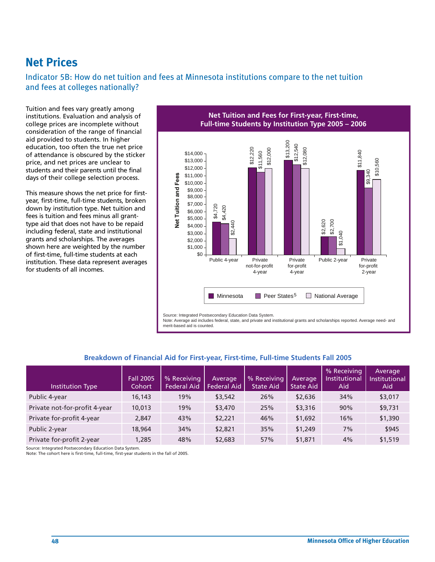# **Net Prices**

Indicator 5B: How do net tuition and fees at Minnesota institutions compare to the net tuition and fees at colleges nationally?

Tuition and fees vary greatly among institutions. Evaluation and analysis of college prices are incomplete without consideration of the range of financial aid provided to students. In higher education, too often the true net price of attendance is obscured by the sticker price, and net prices are unclear to students and their parents until the final days of their college selection process.

This measure shows the net price for firstyear, first-time, full-time students, broken down by institution type. Net tuition and fees is tuition and fees minus all granttype aid that does not have to be repaid including federal, state and institutional grants and scholarships. The averages shown here are weighted by the number of first-time, full-time students at each institution. These data represent averages for students of all incomes.

**Net Tuition and Fees for First-year, First-time, Full-time Students by Institution Type 2005 – 2006**



Source: Integrated Postsecondary Education Data System.

Note: Average aid includes federal, state, and private and institutional grants and scholarships reported. Average need- and merit-based aid is counted.

| <b>Institution Type</b>       | <b>Fall 2005</b><br>Cohort | % Receiving<br><b>Federal Aid</b> | Average<br><b>Federal Aid</b> | % Receiving<br><b>State Aid</b> | Average<br><b>State Aid</b> | % Receiving<br><b>Institutional</b><br>Aid | Average<br><b>Institutional</b><br>Aid |
|-------------------------------|----------------------------|-----------------------------------|-------------------------------|---------------------------------|-----------------------------|--------------------------------------------|----------------------------------------|
| Public 4-year                 | 16,143                     | 19%                               | \$3,542                       | 26%                             | \$2,636                     | 34%                                        | \$3,017                                |
| Private not-for-profit 4-year | 10,013                     | 19%                               | \$3,470                       | 25%                             | \$3,316                     | 90%                                        | \$9,731                                |
| Private for-profit 4-year     | 2,847                      | 43%                               | \$2,221                       | 46%                             | \$1,692                     | 16%                                        | \$1,390                                |
| Public 2-year                 | 18,964                     | 34%                               | \$2,821                       | 35%                             | \$1,249                     | 7%                                         | \$945                                  |
| Private for-profit 2-year     | 1,285                      | 48%                               | \$2,683                       | 57%                             | \$1,871                     | 4%                                         | \$1,519                                |

## **Breakdown of Financial Aid for First-year, First-time, Full-time Students Fall 2005**

Source: Integrated Postsecondary Education Data System.

Note: The cohort here is fi rst-time, full-time, fi rst-year students in the fall of 2005.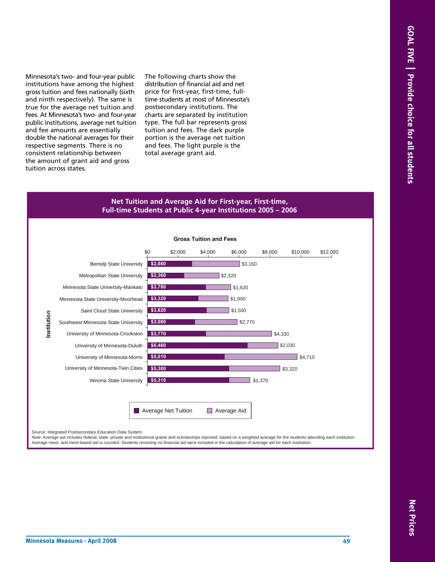Minnesota's two- and four-year public institutions have among the highest gross tuition and fees nationally (sixth and ninth respectively). The same is true for the average net tuition and fees. At Minnesota's two- and four-year public institutions, average net tuition and fee amounts are essentially double the national averages for their respective segments. There is no consistent relationship between the amount of grant aid and gross tuition across states.

The following charts show the distribution of financial aid and net price for first-year, first-time, fulltime students at most of Minnesota's postsecondary institutions. The charts are separated by institution type. The full bar represents gross tuition and fees. The dark purple portion is the average net tuition and fees. The light purple is the total average grant aid.

#### **Net Tuition and Average Aid for First-year, First-time, Full-time Students at Public 4-year Institutions 2005 – 2006**



Source: Integrated Postsecondary Education Data System.

Note: Average aid includes federal, state, private and institutional grants and scholarships reported, based on a weighted average for the students attending each institution.<br>Average need- and merit-based aid is counted.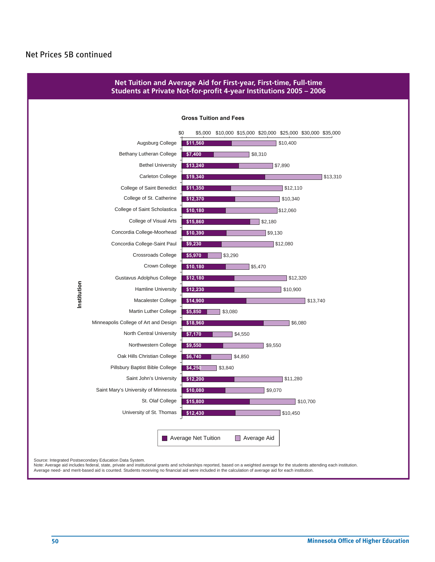## Net Prices 5B continued



Average need- and merit-based aid is counted. Students receiving no financial aid were included in the calculation of average aid for each institution.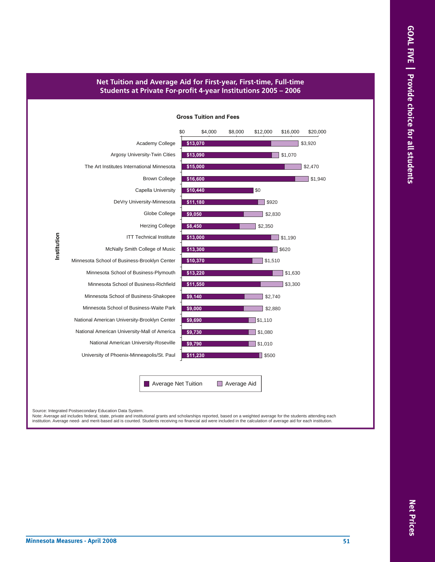### **Net Tuition and Average Aid for First-year, First-time, Full-time Students at Private For-profit 4-year Institutions 2005 – 2006**

#### **Gross Tuition and Fees**



Source: Integrated Postsecondary Education Data System.

Note: Average aid includes federal, state, private and institutional grants and scholarships reported, based on a weighted average for the students attending each institution. Average need- and merit-based aid is counted. Students receiving no financial aid were included in the calculation of average aid for each institution.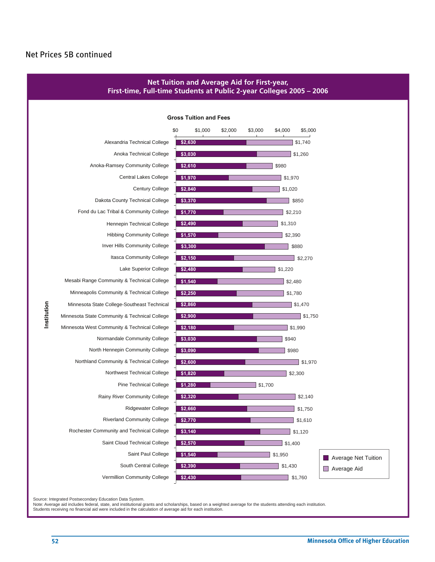## Net Prices 5B continued



Source: Integrated Postsecondary Education Data System.

Note: Average aid includes federal, state, and institutional grants and scholarships, based on a weighted average for the students attending each institution.<br>Students receiving no financial aid were included in the calcul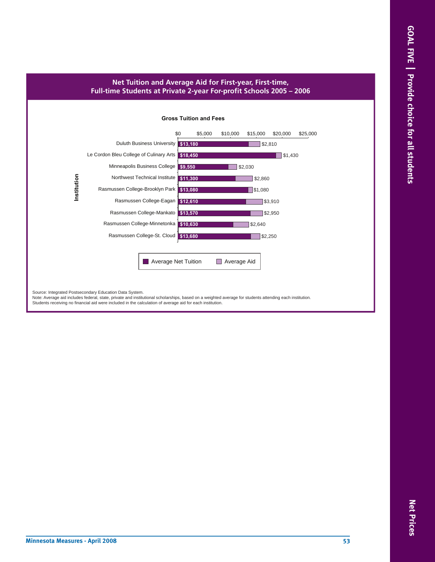## **Net Tuition and Average Aid for First-year, First-time, Full-time Students at Private 2-year For-profit Schools 2005 – 2006**

#### **Gross Tuition and Fees**



Source: Integrated Postsecondary Education Data System.<br>Note: Average aid includes federal, state, private and institutional scholarships, based on a weighted average for students attending each institution. Students receiving no financial aid were included in the calculation of average aid for each institution.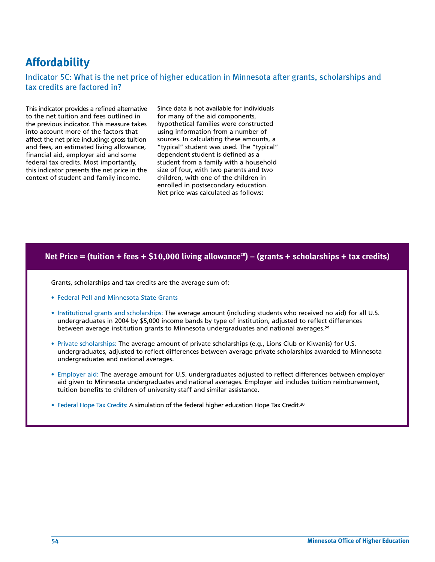# **Affordability**

Indicator 5C: What is the net price of higher education in Minnesota after grants, scholarships and tax credits are factored in?

This indicator provides a refined alternative to the net tuition and fees outlined in the previous indicator. This measure takes into account more of the factors that affect the net price including: gross tuition and fees, an estimated living allowance, financial aid, employer aid and some federal tax credits. Most importantly, this indicator presents the net price in the context of student and family income.

Since data is not available for individuals for many of the aid components, hypothetical families were constructed using information from a number of sources. In calculating these amounts, a "typical" student was used. The "typical" dependent student is defined as a student from a family with a household size of four, with two parents and two children, with one of the children in enrolled in postsecondary education. Net price was calculated as follows:

#### Net Price = (tuition + fees + \$10,000 living allowance<sup>28</sup>) – (grants + scholarships + tax credits)

Grants, scholarships and tax credits are the average sum of:

- Federal Pell and Minnesota State Grants
- Institutional grants and scholarships: The average amount (including students who received no aid) for all U.S. undergraduates in 2004 by \$5,000 income bands by type of institution, adjusted to reflect differences between average institution grants to Minnesota undergraduates and national averages.29
- Private scholarships: The average amount of private scholarships (e.g., Lions Club or Kiwanis) for U.S. undergraduates, adjusted to reflect differences between average private scholarships awarded to Minnesota undergraduates and national averages.
- Employer aid: The average amount for U.S. undergraduates adjusted to reflect differences between employer aid given to Minnesota undergraduates and national averages. Employer aid includes tuition reimbursement, tuition benefits to children of university staff and similar assistance.
- Federal Hope Tax Credits: A simulation of the federal higher education Hope Tax Credit.<sup>30</sup>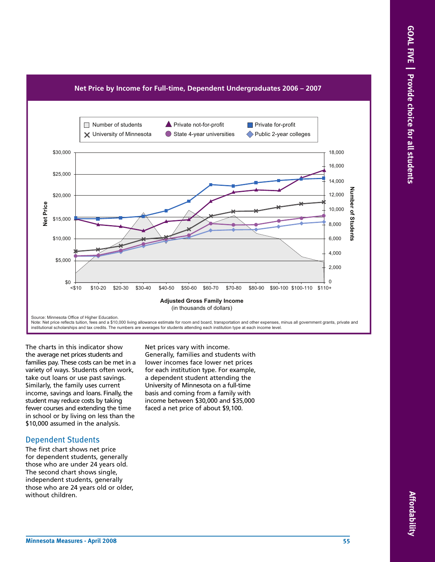



The charts in this indicator show the average net prices students and families pay. These costs can be met in a variety of ways. Students often work, take out loans or use past savings. Similarly, the family uses current income, savings and loans. Finally, the student may reduce costs by taking fewer courses and extending the time in school or by living on less than the \$10,000 assumed in the analysis.

## Dependent Students

The first chart shows net price for dependent students, generally those who are under 24 years old. The second chart shows single, independent students, generally those who are 24 years old or older, without children.

Net prices vary with income. Generally, families and students with lower incomes face lower net prices

for each institution type. For example, a dependent student attending the University of Minnesota on a full-time basis and coming from a family with income between \$30,000 and \$35,000 faced a net price of about \$9,100.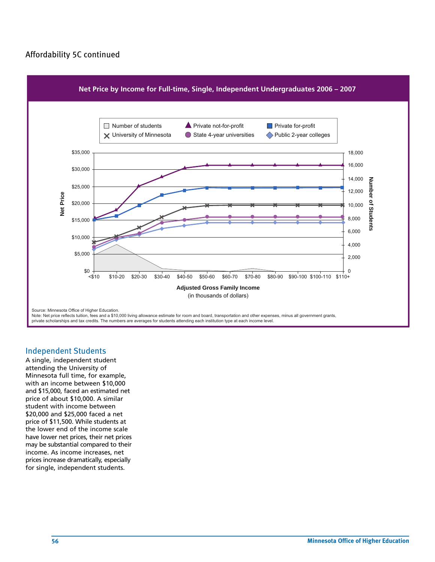## Affordability 5C continued



#### Independent Students

A single, independent student attending the University of Minnesota full time, for example, with an income between \$10,000 and \$15,000, faced an estimated net price of about \$10,000. A similar student with income between \$20,000 and \$25,000 faced a net price of \$11,500. While students at the lower end of the income scale have lower net prices, their net prices may be substantial compared to their income. As income increases, net prices increase dramatically, especially for single, independent students.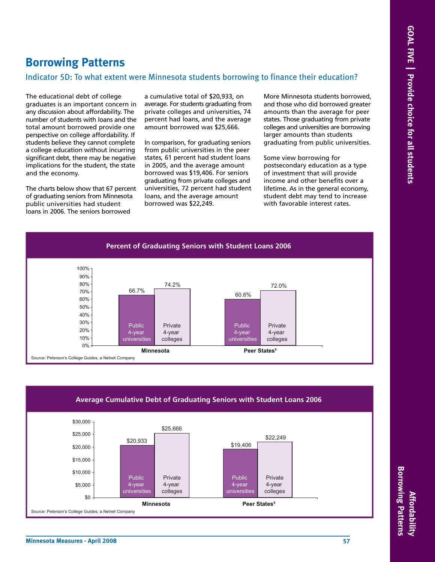# **Borrowing Patterns**

## Indicator 5D: To what extent were Minnesota students borrowing to finance their education?

The educational debt of college graduates is an important concern in any discussion about affordability. The number of students with loans and the total amount borrowed provide one perspective on college affordability. If students believe they cannot complete a college education without incurring significant debt, there may be negative implications for the student, the state and the economy.

The charts below show that 67 percent of graduating seniors from Minnesota public universities had student loans in 2006. The seniors borrowed

a cumulative total of \$20,933, on average. For students graduating from private colleges and universities, 74 percent had loans, and the average amount borrowed was \$25,666.

In comparison, for graduating seniors from public universities in the peer states, 61 percent had student loans in 2005, and the average amount borrowed was \$19,406. For seniors graduating from private colleges and universities, 72 percent had student loans, and the average amount borrowed was \$22,249.

More Minnesota students borrowed, and those who did borrowed greater amounts than the average for peer states. Those graduating from private colleges and universities are borrowing larger amounts than students graduating from public universities.

Some view borrowing for postsecondary education as a type of investment that will provide income and other benefits over a lifetime. As in the general economy, student debt may tend to increase with favorable interest rates.



#### **Average Cumulative Debt of Graduating Seniors with Student Loans 2006**



**Affordability**

**Affordability** 

**Borrowing Patterns**

**Borrowing Patterns**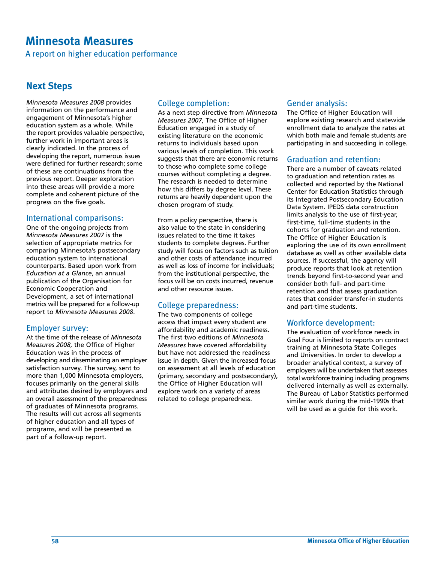# **Minnesota Measures**

A report on higher education performance

## **Next Steps**

*Minnesota Measures 2008* provides information on the performance and engagement of Minnesota's higher education system as a whole. While the report provides valuable perspective, further work in important areas is clearly indicated. In the process of developing the report, numerous issues were defined for further research; some of these are continuations from the previous report. Deeper exploration into these areas will provide a more complete and coherent picture of the progress on the five goals.

## International comparisons:

One of the ongoing projects from *Minnesota Measures 2007* is the selection of appropriate metrics for comparing Minnesota's postsecondary education system to international counterparts. Based upon work from *Education at a Glance*, an annual publication of the Organisation for Economic Cooperation and Development, a set of international metrics will be prepared for a follow-up report to *Minnesota Measures 2008*.

## Employer survey:

At the time of the release of *Minnesota Measures 2008*, the Office of Higher Education was in the process of developing and disseminating an employer satisfaction survey. The survey, sent to more than 1,000 Minnesota employers, focuses primarily on the general skills and attributes desired by employers and an overall assessment of the preparedness of graduates of Minnesota programs. The results will cut across all segments of higher education and all types of programs, and will be presented as part of a follow-up report.

## College completion:

As a next step directive from *Minnesota Measures 2007*, The Office of Higher Education engaged in a study of existing literature on the economic returns to individuals based upon various levels of completion. This work suggests that there are economic returns to those who complete some college courses without completing a degree. The research is needed to determine how this differs by degree level. These returns are heavily dependent upon the chosen program of study.

From a policy perspective, there is also value to the state in considering issues related to the time it takes students to complete degrees. Further study will focus on factors such as tuition and other costs of attendance incurred as well as loss of income for individuals; from the institutional perspective, the focus will be on costs incurred, revenue and other resource issues.

## College preparedness:

The two components of college access that impact every student are affordability and academic readiness. The first two editions of *Minnesota Measures* have covered affordability but have not addressed the readiness issue in depth. Given the increased focus on assessment at all levels of education (primary, secondary and postsecondary), the Office of Higher Education will explore work on a variety of areas related to college preparedness.

## Gender analysis:

The Office of Higher Education will explore existing research and statewide enrollment data to analyze the rates at which both male and female students are participating in and succeeding in college.

## Graduation and retention:

There are a number of caveats related to graduation and retention rates as collected and reported by the National Center for Education Statistics through its Integrated Postsecondary Education Data System. IPEDS data construction limits analysis to the use of first-year, first-time, full-time students in the cohorts for graduation and retention. The Office of Higher Education is exploring the use of its own enrollment database as well as other available data sources. If successful, the agency will produce reports that look at retention trends beyond first-to-second year and consider both full- and part-time retention and that assess graduation rates that consider transfer-in students and part-time students.

## Workforce development:

The evaluation of workforce needs in Goal Four is limited to reports on contract training at Minnesota State Colleges and Universities. In order to develop a broader analytical context, a survey of employers will be undertaken that assesses total workforce training including programs delivered internally as well as externally. The Bureau of Labor Statistics performed similar work during the mid-1990s that will be used as a guide for this work.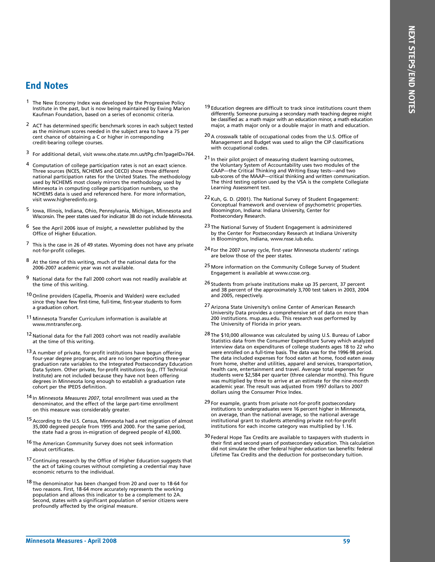## **End Notes**

- <sup>1</sup> The New Economy Index was developed by the Progressive Policy Institute in the past, but is now being maintained by Ewing Marion Kaufman Foundation, based on a series of economic criteria.
- <sup>2</sup> ACT has determined specific benchmark scores in each subject tested as the minimum scores needed in the subject area to have a 75 per cent chance of obtaining a C or higher in corresponding credit-bearing college courses.
- 3 For additional detail, visit www.ohe.state.mn.us/tPg.cfm?pageID=764.
- Computation of college participation rates is not an exact science. Three sources (NCES, NCHEMS and OECD) show three different national participation rates for the United States. The methodology used by NCHEMS most closely mirrors the methodology used by Minnesota in computing college participation numbers, so the NCHEMS data is used and referenced here. For more information, visit www.higheredinfo.org.
- 5 Iowa, Illinois, Indiana, Ohio, Pennsylvania, Michigan, Minnesota and Wisconsin. The peer states used for indicator 3B do not include Minnesota.
- 6 See the April 2006 issue of *Insight*, a newsletter published by the Office of Higher Education.
- 7 This is the case in 26 of 49 states. Wyoming does not have any private not-for-profit colleges.
- 8 At the time of this writing, much of the national data for the 2006-2007 academic year was not available.
- 9 National data for the Fall 2000 cohort was not readily available at the time of this writing.
- 10 Online providers (Capella, Phoenix and Walden) were excluded since they have few first-time, full-time, first-year students to form a graduation cohort.
- 11 Minnesota Transfer Curriculum information is available at www.mntransfer.org.
- 12 National data for the Fall 2003 cohort was not readily available at the time of this writing.
- $13$  A number of private, for-profit institutions have begun offering four-year degree programs, and are no longer reporting three-year graduation rate variables to the Integrated Postsecondary Education Data System. Other private, for-profit institutions (e.g., ITT Technical Institute) are not included because they have not been offering degrees in Minnesota long enough to establish a graduation rate cohort per the IPEDS definition.
- 14 In *Minnesota Measures 2007*, total enrollment was used as the denominator, and the effect of the large part-time enrollment on this measure was considerably greater.
- 15 According to the U.S. Census, Minnesota had a net migration of almost 35,000 degreed people from 1995 and 2000. For the same period, the state had a gross in-migration of degreed people of 43,000.
- 16 The American Community Survey does not seek information about certificates.
- 17 Continuing research by the Office of Higher Education suggests that the act of taking courses without completing a credential may have economic returns to the individual.
- 18 The denominator has been changed from 20 and over to 18-64 for two reasons. First, 18-64 more accurately represents the working population and allows this indicator to be a complement to 2A. Second, states with a significant population of senior citizens were profoundly affected by the original measure.
- <sup>19</sup> Education degrees are difficult to track since institutions count them differently. Someone pursuing a secondary math teaching degree might be classified as: a math major with an education minor, a math education major, a math major only or a double major in math and education.
- 20 A crosswalk table of occupational codes from the U.S. Office of Management and Budget was used to align the CIP classifications with occupational codes.
- 21 In their pilot project of measuring student learning outcomes, the Voluntary System of Accountability uses two modules of the CAAP—the Critical Thinking and Writing Essay tests—and two sub-scores of the MAAP—critical thinking and written communication. The third testing option used by the VSA is the complete Collegiate Learning Assessment test.
- 22 Kuh, G. D. (2001). The National Survey of Student Engagement: Conceptual framework and overview of psychometric properties. Bloomington, Indiana: Indiana University, Center for Postsecondary Research.
- 23 The National Survey of Student Engagement is administered by the Center for Postsecondary Research at Indiana University in Bloomington, Indiana, www.nsse.iub.edu.
- 24 For the 2007 survey cycle, first-year Minnesota students' ratings are below those of the peer states.
- 25 More information on the Community College Survey of Student Engagement is available at www.ccsse.org.
- 26 Students from private institutions make up 35 percent, 37 percent and 38 percent of the approximately 3,700 test takers in 2003, 2004 and 2005, respectively.
- 27 Arizona State University's online Center of American Research University Data provides a comprehensive set of data on more than 200 institutions. mup.asu.edu. This research was performed by The University of Florida in prior years.
- 28 The \$10,000 allowance was calculated by using U.S. Bureau of Labor Statistics data from the Consumer Expenditure Survey which analyzed interview data on expenditures of college students ages 18 to 22 who were enrolled on a full-time basis. The data was for the 1996-98 period. The data included expenses for food eaten at home, food eaten away from home, shelter and utilities, apparel and services, transportation, health care, entertainment and travel. Average total expenses for students were \$2,584 per quarter (three calendar months). This figure was multiplied by three to arrive at an estimate for the nine-month academic year. The result was adjusted from 1997 dollars to 2007 dollars using the Consumer Price Index.
- 29 For example, grants from private not-for-profit postsecondary institutions to undergraduates were 16 percent higher in Minnesota, on average, than the national average, so the national average institutional grant to students attending private not-for-profit institutions for each income category was multiplied by 1.16.
- 30 Federal Hope Tax Credits are available to taxpayers with students in their first and second years of postsecondary education. This calculation did not simulate the other federal higher education tax benefits: federal Lifetime Tax Credits and the deduction for postsecondary tuition.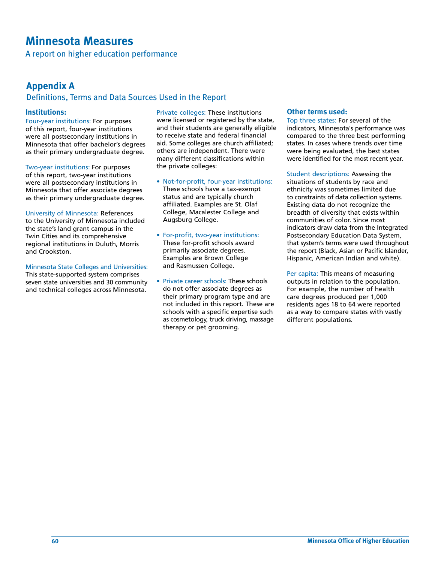# **Minnesota Measures**

A report on higher education performance

## **Appendix A**

## Definitions, Terms and Data Sources Used in the Report

## **Institutions:**

Four-year institutions: For purposes of this report, four-year institutions were all postsecondary institutions in Minnesota that offer bachelor's degrees as their primary undergraduate degree.

Two-year institutions: For purposes of this report, two-year institutions were all postsecondary institutions in Minnesota that offer associate degrees as their primary undergraduate degree.

University of Minnesota: References to the University of Minnesota included the state's land grant campus in the Twin Cities and its comprehensive regional institutions in Duluth, Morris and Crookston.

#### Minnesota State Colleges and Universities:

This state-supported system comprises seven state universities and 30 community and technical colleges across Minnesota.

Private colleges: These institutions were licensed or registered by the state, and their students are generally eligible to receive state and federal financial aid. Some colleges are church affiliated; others are independent. There were many different classifications within the private colleges:

- Not-for-profit, four-year institutions: These schools have a tax-exempt status and are typically church affiliated. Examples are St. Olaf College, Macalester College and Augsburg College.
- For-profit, two-year institutions: These for-profit schools award primarily associate degrees. Examples are Brown College and Rasmussen College.
- Private career schools: These schools do not offer associate degrees as their primary program type and are not included in this report. These are schools with a specific expertise such as cosmetology, truck driving, massage therapy or pet grooming.

## **Other terms used:**

Top three states: For several of the indicators, Minnesota's performance was compared to the three best performing states. In cases where trends over time were being evaluated, the best states were identified for the most recent year.

Student descriptions: Assessing the situations of students by race and ethnicity was sometimes limited due to constraints of data collection systems. Existing data do not recognize the breadth of diversity that exists within communities of color. Since most indicators draw data from the Integrated Postsecondary Education Data System, that system's terms were used throughout the report (Black, Asian or Pacific Islander, Hispanic, American Indian and white).

Per capita: This means of measuring outputs in relation to the population. For example, the number of health care degrees produced per 1,000 residents ages 18 to 64 were reported as a way to compare states with vastly different populations.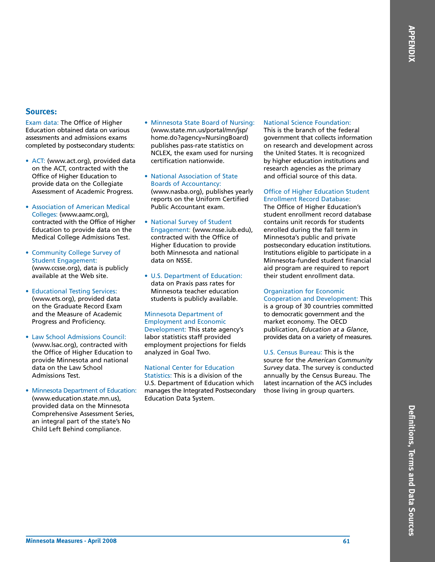#### **Sources:**

Exam data: The Office of Higher Education obtained data on various assessments and admissions exams completed by postsecondary students:

- ACT: (www.act.org), provided data on the ACT, contracted with the Office of Higher Education to provide data on the Collegiate Assessment of Academic Progress.
- Association of American Medical Colleges: (www.aamc.org), contracted with the Office of Higher Education to provide data on the Medical College Admissions Test.
- Community College Survey of Student Engagement: (www.ccsse.org), data is publicly available at the Web site.
- Educational Testing Services: (www.ets.org), provided data on the Graduate Record Exam and the Measure of Academic Progress and Proficiency.
- Law School Admissions Council: (www.lsac.org), contracted with the Office of Higher Education to provide Minnesota and national data on the Law School Admissions Test.
- Minnesota Department of Education: (www.education.state.mn.us), provided data on the Minnesota Comprehensive Assessment Series, an integral part of the state's No Child Left Behind compliance.
- Minnesota State Board of Nursing: (www.state.mn.us/portal/mn/jsp/ home.do?agency=NursingBoard) publishes pass-rate statistics on NCLEX, the exam used for nursing certification nationwide.
- National Association of State Boards of Accountancy: (www.nasba.org), publishes yearly reports on the Uniform Certified Public Accountant exam.
- National Survey of Student Engagement: (www.nsse.iub.edu), contracted with the Office of Higher Education to provide both Minnesota and national data on NSSE.
- U.S. Department of Education: data on Praxis pass rates for Minnesota teacher education students is publicly available.

#### Minnesota Department of Employment and Economic Development: This state agency's labor statistics staff provided employment projections for fields analyzed in Goal Two.

#### National Center for Education

Statistics: This is a division of the U.S. Department of Education which manages the Integrated Postsecondary Education Data System.

#### National Science Foundation:

This is the branch of the federal government that collects information on research and development across the United States. It is recognized by higher education institutions and research agencies as the primary and official source of this data.

#### Office of Higher Education Student Enrollment Record Database:

The Office of Higher Education's student enrollment record database contains unit records for students enrolled during the fall term in Minnesota's public and private postsecondary education institutions. Institutions eligible to participate in a Minnesota-funded student financial aid program are required to report their student enrollment data.

#### Organization for Economic

Cooperation and Development: This is a group of 30 countries committed to democratic government and the market economy. The OECD publication, *Education at a Glance*, provides data on a variety of measures.

#### U.S. Census Bureau: This is the

source for the *American Community Survey* data. The survey is conducted annually by the Census Bureau. The latest incarnation of the ACS includes those living in group quarters.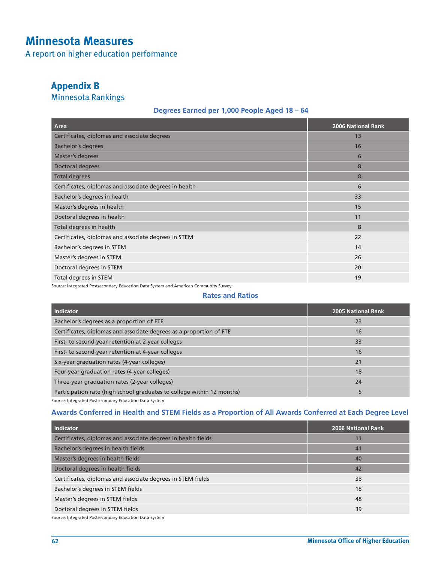# **Minnesota Measures**

A report on higher education performance

## **Appendix B**

Minnesota Rankings

## **Degrees Earned per 1,000 People Aged 18 – 64**

| Area                                                   | <b>2006 National Rank</b> |
|--------------------------------------------------------|---------------------------|
| Certificates, diplomas and associate degrees           | 13                        |
| <b>Bachelor's degrees</b>                              | 16                        |
| Master's degrees                                       | 6                         |
| Doctoral degrees                                       | 8                         |
| <b>Total degrees</b>                                   | 8                         |
| Certificates, diplomas and associate degrees in health | 6                         |
| Bachelor's degrees in health                           | 33                        |
| Master's degrees in health                             | 15                        |
| Doctoral degrees in health                             | 11                        |
| Total degrees in health                                | 8                         |
| Certificates, diplomas and associate degrees in STEM   | 22                        |
| Bachelor's degrees in STEM                             | 14                        |
| Master's degrees in STEM                               | 26                        |
| Doctoral degrees in STEM                               | 20                        |
| Total degrees in STEM                                  | 19                        |

Source: Integrated Postsecondary Education Data System and American Community Survey

#### **Rates and Ratios**

| Indicator                                                              | 2005 National Rank |
|------------------------------------------------------------------------|--------------------|
| Bachelor's degrees as a proportion of FTE                              | 23                 |
| Certificates, diplomas and associate degrees as a proportion of FTE    | 16                 |
| First- to second-year retention at 2-year colleges                     | 33                 |
| First- to second-year retention at 4-year colleges                     | 16                 |
| Six-year graduation rates (4-year colleges)                            | 21                 |
| Four-year graduation rates (4-year colleges)                           | 18                 |
| Three-year graduation rates (2-year colleges)                          | 24                 |
| Participation rate (high school graduates to college within 12 months) | 5                  |

Source: Integrated Postsecondary Education Data System

## **Awards Conferred in Health and STEM Fields as a Proportion of All Awards Conferred at Each Degree Level**

| Indicator                                                     | 2006 National Rank |
|---------------------------------------------------------------|--------------------|
| Certificates, diplomas and associate degrees in health fields | 11                 |
| Bachelor's degrees in health fields                           | 41                 |
| Master's degrees in health fields                             | 40                 |
| Doctoral degrees in health fields                             | 42                 |
| Certificates, diplomas and associate degrees in STEM fields   | 38                 |
| Bachelor's degrees in STEM fields                             | 18                 |
| Master's degrees in STEM fields                               | 48                 |
| Doctoral degrees in STEM fields                               | 39                 |
|                                                               |                    |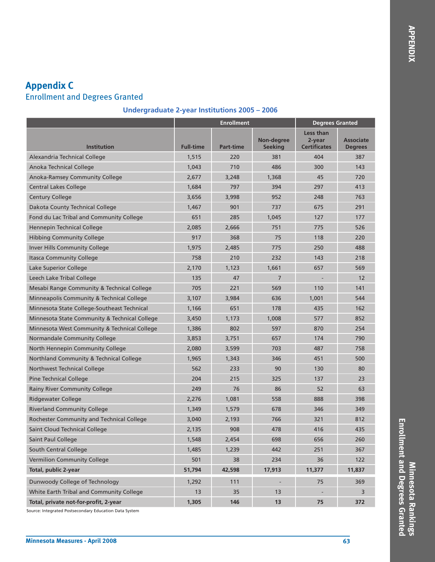# **Appendix C** Enrollment and Degrees Granted

## **Undergraduate 2-year Institutions 2005 – 2006**

|                                               |                  | <b>Enrollment</b> | <b>Degrees Granted</b>       |                                                   |                                    |
|-----------------------------------------------|------------------|-------------------|------------------------------|---------------------------------------------------|------------------------------------|
| <b>Institution</b>                            | <b>Full-time</b> | <b>Part-time</b>  | Non-degree<br><b>Seeking</b> | <b>Less than</b><br>2-year<br><b>Certificates</b> | <b>Associate</b><br><b>Degrees</b> |
| Alexandria Technical College                  | 1,515            | 220               | 381                          | 404                                               | 387                                |
| Anoka Technical College                       | 1,043            | 710               | 486                          | 300                                               | 143                                |
| <b>Anoka-Ramsey Community College</b>         | 2,677            | 3,248             | 1,368                        | 45                                                | 720                                |
| <b>Central Lakes College</b>                  | 1,684            | 797               | 394                          | 297                                               | 413                                |
| <b>Century College</b>                        | 3,656            | 3,998             | 952                          | 248                                               | 763                                |
| Dakota County Technical College               | 1,467            | 901               | 737                          | 675                                               | 291                                |
| Fond du Lac Tribal and Community College      | 651              | 285               | 1,045                        | 127                                               | 177                                |
| Hennepin Technical College                    | 2,085            | 2,666             | 751                          | 775                                               | 526                                |
| <b>Hibbing Community College</b>              | 917              | 368               | 75                           | 118                                               | 220                                |
| <b>Inver Hills Community College</b>          | 1,975            | 2,485             | 775                          | 250                                               | 488                                |
| <b>Itasca Community College</b>               | 758              | 210               | 232                          | 143                                               | 218                                |
| Lake Superior College                         | 2,170            | 1,123             | 1,661                        | 657                                               | 569                                |
| Leech Lake Tribal College                     | 135              | 47                | $\overline{7}$               |                                                   | 12                                 |
| Mesabi Range Community & Technical College    | 705              | 221               | 569                          | 110                                               | 141                                |
| Minneapolis Community & Technical College     | 3,107            | 3,984             | 636                          | 1,001                                             | 544                                |
| Minnesota State College-Southeast Technical   | 1,166            | 651               | 178                          | 435                                               | 162                                |
| Minnesota State Community & Technical College | 3,450            | 1,173             | 1,008                        | 577                                               | 852                                |
| Minnesota West Community & Technical College  | 1,386            | 802               | 597                          | 870                                               | 254                                |
| Normandale Community College                  | 3,853            | 3,751             | 657                          | 174                                               | 790                                |
| North Hennepin Community College              | 2,080            | 3,599             | 703                          | 487                                               | 758                                |
| Northland Community & Technical College       | 1,965            | 1,343             | 346                          | 451                                               | 500                                |
| Northwest Technical College                   | 562              | 233               | 90                           | 130                                               | 80                                 |
| <b>Pine Technical College</b>                 | 204              | 215               | 325                          | 137                                               | 23                                 |
| Rainy River Community College                 | 249              | 76                | 86                           | 52                                                | 63                                 |
| <b>Ridgewater College</b>                     | 2,276            | 1,081             | 558                          | 888                                               | 398                                |
| <b>Riverland Community College</b>            | 1,349            | 1,579             | 678                          | 346                                               | 349                                |
| Rochester Community and Technical College     | 3,040            | 2.193             | 766                          | 321                                               | 812                                |
| Saint Cloud Technical College                 | 2,135            | 908               | 478                          | 416                                               | 435                                |
| Saint Paul College                            | 1,548            | 2,454             | 698                          | 656                                               | 260                                |
| South Central College                         | 1,485            | 1,239             | 442                          | 251                                               | 367                                |
| <b>Vermilion Community College</b>            | 501              | 38                | 234                          | 36                                                | 122                                |
| <b>Total, public 2-year</b>                   | 51,794           | 42,598            | 17,913                       | 11,377                                            | 11,837                             |
| Dunwoody College of Technology                | 1,292            | 111               | $\overline{\phantom{a}}$     | 75                                                | 369                                |
| White Earth Tribal and Community College      | 13               | 35                | 13                           |                                                   | 3                                  |
| Total, private not-for-profit, 2-year         | 1,305            | 146               | 13                           | 75                                                | 372                                |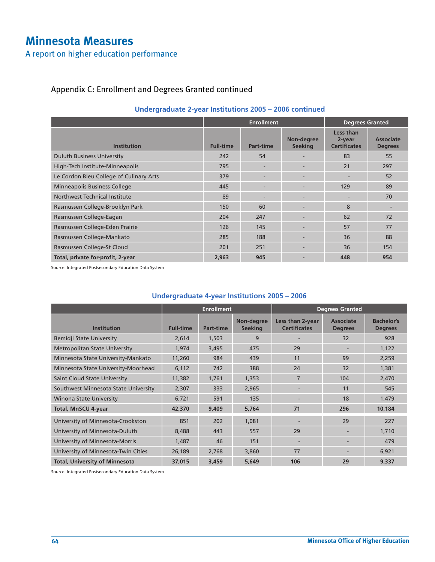# **Minnesota Measures**

A report on higher education performance

## Appendix C: Enrollment and Degrees Granted continued

|                                         |                  | <b>Enrollment</b>        | <b>Degrees Granted</b>       |                                            |                             |
|-----------------------------------------|------------------|--------------------------|------------------------------|--------------------------------------------|-----------------------------|
| <b>Institution</b>                      | <b>Full-time</b> | Part-time                | Non-degree<br><b>Seeking</b> | Less than<br>2-year<br><b>Certificates</b> | Associate<br><b>Degrees</b> |
| <b>Duluth Business University</b>       | 242              | 54                       |                              | 83                                         | 55                          |
| High-Tech Institute-Minneapolis         | 795              | $\overline{\phantom{a}}$ |                              | 21                                         | 297                         |
| Le Cordon Bleu College of Culinary Arts | 379              | $\overline{\phantom{a}}$ |                              | $\overline{\phantom{a}}$                   | 52                          |
| <b>Minneapolis Business College</b>     | 445              | $\overline{\phantom{a}}$ |                              | 129                                        | 89                          |
| Northwest Technical Institute           | 89               | $\overline{\phantom{a}}$ |                              | $\overline{\phantom{a}}$                   | 70                          |
| Rasmussen College-Brooklyn Park         | 150              | 60                       |                              | 8                                          |                             |
| Rasmussen College-Eagan                 | 204              | 247                      |                              | 62                                         | 72                          |
| Rasmussen College-Eden Prairie          | 126              | 145                      |                              | 57                                         | 77                          |
| Rasmussen College-Mankato               | 285              | 188                      |                              | 36                                         | 88                          |
| Rasmussen College-St Cloud              | 201              | 251                      |                              | 36                                         | 154                         |
| Total, private for-profit, 2-year       | 2,963            | 945                      |                              | 448                                        | 954                         |

## **Undergraduate 2-year Institutions 2005 – 2006 continued**

Source: Integrated Postsecondary Education Data System

## **Undergraduate 4-year Institutions 2005 – 2006**

|                                       | <b>Enrollment</b> |           |                              | <b>Degrees Granted</b>                  |                                    |                                     |
|---------------------------------------|-------------------|-----------|------------------------------|-----------------------------------------|------------------------------------|-------------------------------------|
| <b>Institution</b>                    | <b>Full-time</b>  | Part-time | Non-degree<br><b>Seeking</b> | Less than 2-year<br><b>Certificates</b> | <b>Associate</b><br><b>Degrees</b> | <b>Bachelor's</b><br><b>Degrees</b> |
| Bemidji State University              | 2,614             | 1,503     | 9                            |                                         | 32                                 | 928                                 |
| <b>Metropolitan State University</b>  | 1,974             | 3,495     | 475                          | 29                                      |                                    | 1,122                               |
| Minnesota State University-Mankato    | 11,260            | 984       | 439                          | 11                                      | 99                                 | 2,259                               |
| Minnesota State University-Moorhead   | 6,112             | 742       | 388                          | 24                                      | 32                                 | 1,381                               |
| Saint Cloud State University          | 11,382            | 1,761     | 1,353                        | $\overline{7}$                          | 104                                | 2,470                               |
| Southwest Minnesota State University  | 2,307             | 333       | 2,965                        |                                         | 11                                 | 545                                 |
| <b>Winona State University</b>        | 6,721             | 591       | 135                          |                                         | 18                                 | 1,479                               |
| <b>Total, MnSCU 4-year</b>            | 42,370            | 9,409     | 5,764                        | 71                                      | 296                                | 10,184                              |
| University of Minnesota-Crookston     | 851               | 202       | 1,081                        |                                         | 29                                 | 227                                 |
| University of Minnesota-Duluth        | 8,488             | 443       | 557                          | 29                                      |                                    | 1,710                               |
| University of Minnesota-Morris        | 1,487             | 46        | 151                          | ٠                                       | $\overline{\phantom{a}}$           | 479                                 |
| University of Minnesota-Twin Cities   | 26,189            | 2,768     | 3,860                        | 77                                      |                                    | 6,921                               |
| <b>Total, University of Minnesota</b> | 37,015            | 3,459     | 5.649                        | 106                                     | 29                                 | 9,337                               |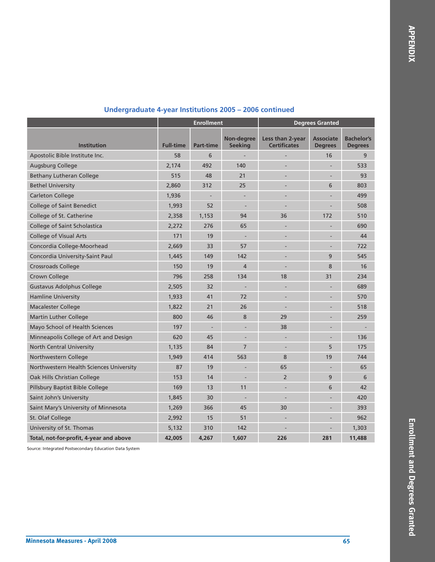|                                         | <b>Enrollment</b> |                  |                              | <b>Degrees Granted</b>                  |                                    |                                     |  |
|-----------------------------------------|-------------------|------------------|------------------------------|-----------------------------------------|------------------------------------|-------------------------------------|--|
| <b>Institution</b>                      | <b>Full-time</b>  | <b>Part-time</b> | Non-degree<br><b>Seeking</b> | Less than 2-year<br><b>Certificates</b> | <b>Associate</b><br><b>Degrees</b> | <b>Bachelor's</b><br><b>Degrees</b> |  |
| Apostolic Bible Institute Inc.          | 58                | 6                |                              |                                         | 16                                 | 9                                   |  |
| <b>Augsburg College</b>                 | 2,174             | 492              | 140                          |                                         |                                    | 533                                 |  |
| <b>Bethany Lutheran College</b>         | 515               | 48               | 21                           |                                         |                                    | 93                                  |  |
| <b>Bethel University</b>                | 2,860             | 312              | 25                           |                                         | 6                                  | 803                                 |  |
| <b>Carleton College</b>                 | 1,936             |                  | $\overline{\phantom{a}}$     |                                         |                                    | 499                                 |  |
| <b>College of Saint Benedict</b>        | 1,993             | 52               |                              |                                         |                                    | 508                                 |  |
| College of St. Catherine                | 2,358             | 1,153            | 94                           | 36                                      | 172                                | 510                                 |  |
| College of Saint Scholastica            | 2,272             | 276              | 65                           |                                         |                                    | 690                                 |  |
| <b>College of Visual Arts</b>           | 171               | 19               |                              |                                         |                                    | 44                                  |  |
| Concordia College-Moorhead              | 2,669             | 33               | 57                           |                                         |                                    | 722                                 |  |
| Concordia University-Saint Paul         | 1,445             | 149              | 142                          |                                         | 9                                  | 545                                 |  |
| <b>Crossroads College</b>               | 150               | 19               | $\overline{4}$               |                                         | 8                                  | 16                                  |  |
| Crown College                           | 796               | 258              | 134                          | 18                                      | 31                                 | 234                                 |  |
| <b>Gustavus Adolphus College</b>        | 2,505             | 32               |                              |                                         |                                    | 689                                 |  |
| <b>Hamline University</b>               | 1,933             | 41               | 72                           |                                         |                                    | 570                                 |  |
| <b>Macalester College</b>               | 1,822             | 21               | 26                           |                                         |                                    | 518                                 |  |
| <b>Martin Luther College</b>            | 800               | 46               | 8                            | 29                                      |                                    | 259                                 |  |
| Mayo School of Health Sciences          | 197               |                  |                              | 38                                      |                                    |                                     |  |
| Minneapolis College of Art and Design   | 620               | 45               |                              |                                         |                                    | 136                                 |  |
| <b>North Central University</b>         | 1,135             | 84               | $\overline{7}$               |                                         | 5                                  | 175                                 |  |
| Northwestern College                    | 1,949             | 414              | 563                          | 8                                       | 19                                 | 744                                 |  |
| Northwestern Health Sciences University | 87                | 19               |                              | 65                                      |                                    | 65                                  |  |
| Oak Hills Christian College             | 153               | 14               |                              | $\overline{2}$                          | 9                                  | 6                                   |  |
| Pillsbury Baptist Bible College         | 169               | 13               | 11                           |                                         | 6                                  | 42                                  |  |
| Saint John's University                 | 1,845             | 30               |                              |                                         |                                    | 420                                 |  |
| Saint Mary's University of Minnesota    | 1,269             | 366              | 45                           | 30                                      |                                    | 393                                 |  |
| St. Olaf College                        | 2,992             | 15               | 51                           |                                         |                                    | 962                                 |  |
| University of St. Thomas                | 5,132             | 310              | 142                          |                                         |                                    | 1,303                               |  |
| Total, not-for-profit, 4-year and above | 42,005            | 4,267            | 1.607                        | 226                                     | 281                                | 11,488                              |  |

## **Undergraduate 4-year Institutions 2005 – 2006 continued**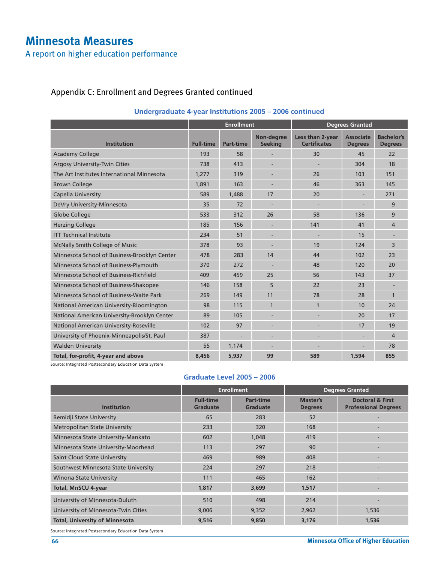# **Minnesota Measures**

A report on higher education performance

## Appendix C: Enrollment and Degrees Granted continued

|                                              | <b>Enrollment</b> |                  |                              |                                         | <b>Degrees Granted</b>             |                                     |
|----------------------------------------------|-------------------|------------------|------------------------------|-----------------------------------------|------------------------------------|-------------------------------------|
| <b>Institution</b>                           | <b>Full-time</b>  | <b>Part-time</b> | Non-degree<br><b>Seeking</b> | Less than 2-year<br><b>Certificates</b> | <b>Associate</b><br><b>Degrees</b> | <b>Bachelor's</b><br><b>Degrees</b> |
| <b>Academy College</b>                       | 193               | 58               |                              | 30                                      | 45                                 | 22                                  |
| <b>Argosy University-Twin Cities</b>         | 738               | 413              |                              |                                         | 304                                | 18                                  |
| The Art Institutes International Minnesota   | 1,277             | 319              | $\overline{\phantom{a}}$     | 26                                      | 103                                | 151                                 |
| <b>Brown College</b>                         | 1.891             | 163              |                              | 46                                      | 363                                | 145                                 |
| Capella University                           | 589               | 1,488            | 17                           | 20                                      |                                    | 271                                 |
| DeVry University-Minnesota                   | 35                | 72               |                              |                                         |                                    | 9                                   |
| Globe College                                | 533               | 312              | 26                           | 58                                      | 136                                | 9                                   |
| <b>Herzing College</b>                       | 185               | 156              |                              | 141                                     | 41                                 | 4                                   |
| <b>ITT Technical Institute</b>               | 234               | 51               | $\overline{\phantom{a}}$     |                                         | 15                                 |                                     |
| McNally Smith College of Music               | 378               | 93               | $\overline{\phantom{a}}$     | 19                                      | 124                                | 3                                   |
| Minnesota School of Business-Brooklyn Center | 478               | 283              | 14                           | 44                                      | 102                                | 23                                  |
| Minnesota School of Business-Plymouth        | 370               | 272              | $\overline{\phantom{a}}$     | 48                                      | 120                                | 20                                  |
| Minnesota School of Business-Richfield       | 409               | 459              | 25                           | 56                                      | 143                                | 37                                  |
| Minnesota School of Business-Shakopee        | 146               | 158              | 5                            | 22                                      | 23                                 |                                     |
| Minnesota School of Business-Waite Park      | 269               | 149              | 11                           | 78                                      | 28                                 | $\mathbf{1}$                        |
| National American University-Bloomington     | 98                | 115              | $\mathbf{1}$                 | $\mathbf{1}$                            | 10                                 | 24                                  |
| National American University-Brooklyn Center | 89                | 105              |                              |                                         | 20                                 | 17                                  |
| National American University-Roseville       | 102               | 97               |                              |                                         | 17                                 | 19                                  |
| University of Phoenix-Minneapolis/St. Paul   | 387               |                  |                              |                                         |                                    | 4                                   |
| <b>Walden University</b>                     | 55                | 1,174            |                              |                                         |                                    | 78                                  |
| Total, for-profit, 4-year and above          | 8,456             | 5,937            | 99                           | 589                                     | 1,594                              | 855                                 |

## **Undergraduate 4-year Institutions 2005 – 2006 continued**

Source: Integrated Postsecondary Education Data System

#### **Graduate Level 2005 – 2006**

|                                       | <b>Enrollment</b>                   |                                     |                            | <b>Degrees Granted</b>                                     |  |
|---------------------------------------|-------------------------------------|-------------------------------------|----------------------------|------------------------------------------------------------|--|
| <b>Institution</b>                    | <b>Full-time</b><br><b>Graduate</b> | <b>Part-time</b><br><b>Graduate</b> | Master's<br><b>Degrees</b> | <b>Doctoral &amp; First</b><br><b>Professional Degrees</b> |  |
| Bemidji State University              | 65                                  | 283                                 | 52                         |                                                            |  |
| <b>Metropolitan State University</b>  | 233                                 | 320                                 | 168                        |                                                            |  |
| Minnesota State University-Mankato    | 602                                 | 1,048                               | 419                        |                                                            |  |
| Minnesota State University-Moorhead   | 113                                 | 297                                 | 90                         |                                                            |  |
| <b>Saint Cloud State University</b>   | 469                                 | 989                                 | 408                        |                                                            |  |
| Southwest Minnesota State University  | 224                                 | 297                                 | 218                        |                                                            |  |
| <b>Winona State University</b>        | 111                                 | 465                                 | 162                        |                                                            |  |
| <b>Total, MnSCU 4-year</b>            | 1,817                               | 3,699                               | 1,517                      |                                                            |  |
| University of Minnesota-Duluth        | 510                                 | 498                                 | 214                        | $\overline{\phantom{a}}$                                   |  |
| University of Minnesota-Twin Cities   | 9,006                               | 9,352                               | 2,962                      | 1,536                                                      |  |
| <b>Total, University of Minnesota</b> | 9,516                               | 9,850                               | 3,176                      | 1,536                                                      |  |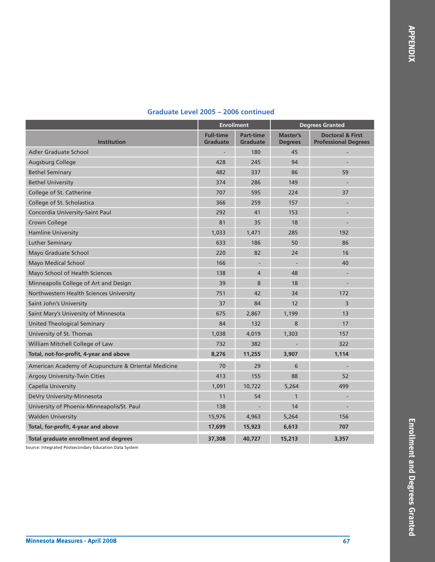|                                                     | <b>Enrollment</b>                   |                                     | <b>Degrees Granted</b>            |                                                            |
|-----------------------------------------------------|-------------------------------------|-------------------------------------|-----------------------------------|------------------------------------------------------------|
| <b>Institution</b>                                  | <b>Full-time</b><br><b>Graduate</b> | <b>Part-time</b><br><b>Graduate</b> | <b>Master's</b><br><b>Degrees</b> | <b>Doctoral &amp; First</b><br><b>Professional Degrees</b> |
| <b>Adler Graduate School</b>                        |                                     | 180                                 | 45                                |                                                            |
| <b>Augsburg College</b>                             | 428                                 | 245                                 | 94                                |                                                            |
| <b>Bethel Seminary</b>                              | 482                                 | 337                                 | 86                                | 59                                                         |
| <b>Bethel University</b>                            | 374                                 | 286                                 | 149                               | $\overline{\phantom{a}}$                                   |
| College of St. Catherine                            | 707                                 | 595                                 | 224                               | 37                                                         |
| College of St. Scholastica                          | 366                                 | 259                                 | 157                               |                                                            |
| Concordia University-Saint Paul                     | 292                                 | 41                                  | 153                               |                                                            |
| Crown College                                       | 81                                  | 35                                  | 18                                |                                                            |
| <b>Hamline University</b>                           | 1,033                               | 1,471                               | 285                               | 192                                                        |
| <b>Luther Seminary</b>                              | 633                                 | 186                                 | 50                                | 86                                                         |
| Mayo Graduate School                                | 220                                 | 82                                  | 24                                | 16                                                         |
| <b>Mayo Medical School</b>                          | 166                                 |                                     |                                   | 40                                                         |
| Mayo School of Health Sciences                      | 138                                 | 4                                   | 48                                |                                                            |
| Minneapolis College of Art and Design               | 39                                  | 8                                   | 18                                |                                                            |
| Northwestern Health Sciences University             | 751                                 | 42                                  | 34                                | 172                                                        |
| Saint John's University                             | 37                                  | 84                                  | 12                                | 3                                                          |
| Saint Mary's University of Minnesota                | 675                                 | 2,867                               | 1,199                             | 13                                                         |
| United Theological Seminary                         | 84                                  | 132                                 | 8                                 | 17                                                         |
| University of St. Thomas                            | 1,038                               | 4,019                               | 1,303                             | 157                                                        |
| William Mitchell College of Law                     | 732                                 | 382                                 |                                   | 322                                                        |
| Total, not-for-profit, 4-year and above             | 8,276                               | 11,255                              | 3,907                             | 1,114                                                      |
| American Academy of Acupuncture & Oriental Medicine | 70                                  | 29                                  | 6                                 |                                                            |
| Argosy University-Twin Cities                       | 413                                 | 155                                 | 88                                | 52                                                         |
| <b>Capella University</b>                           | 1,091                               | 10,722                              | 5,264                             | 499                                                        |
| DeVry University-Minnesota                          | 11                                  | 54                                  | $\mathbf{1}$                      |                                                            |
| University of Phoenix-Minneapolis/St. Paul          | 138                                 |                                     | 14                                | $\overline{\phantom{a}}$                                   |
| <b>Walden University</b>                            | 15,976                              | 4,963                               | 5,264                             | 156                                                        |
| Total, for-profit, 4-year and above                 | 17,699                              | 15,923                              | 6,613                             | 707                                                        |
| <b>Total graduate enrollment and degrees</b>        | 37,308                              | 40,727                              | 15,213                            | 3.357                                                      |

#### **Graduate Level 2005 – 2006 continued**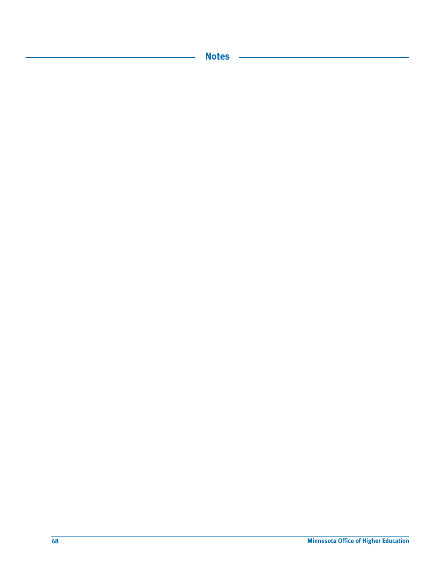**Notes**

l,

 $\overline{\phantom{a}}$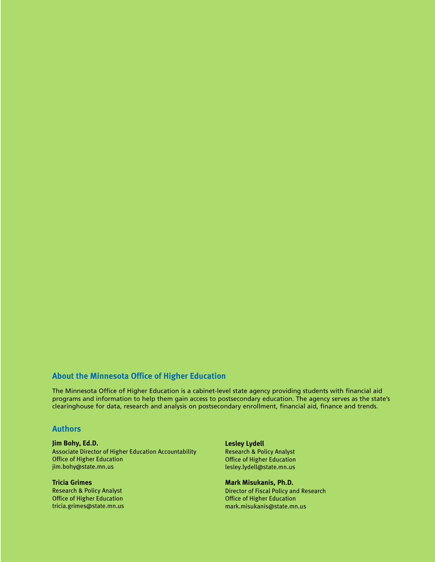## **About the Minnesota Office of Higher Education**

The Minnesota Office of Higher Education is a cabinet-level state agency providing students with financial aid programs and information to help them gain access to postsecondary education. The agency serves as the state's clearinghouse for data, research and analysis on postsecondary enrollment, financial aid, finance and trends.

#### **Authors**

#### **Jim Bohy, Ed.D.** Associate Director of Higher Education Accountability Office of Higher Education jim.bohy@state.mn.us

**Tricia Grimes** Research & Policy Analyst Office of Higher Education tricia.grimes@state.mn.us **Lesley Lydell** Research & Policy Analyst Office of Higher Education lesley.lydell@state.mn.us

**Mark Misukanis, Ph.D.** Director of Fiscal Policy and Research Office of Higher Education mark.misukanis@state.mn.us